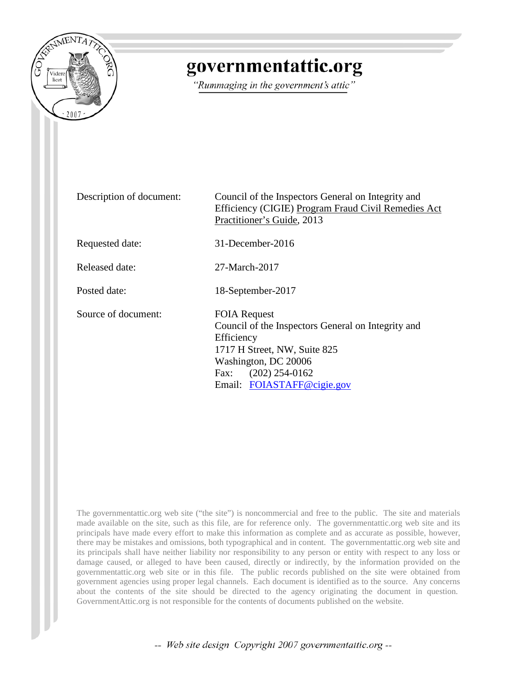

### governmentattic.org

"Rummaging in the government's attic"

Description of document: Council of the Inspectors General on Integrity and Efficiency (CIGIE) Program Fraud Civil Remedies Act Practitioner's Guide, 2013 Requested date: 31-December-2016 Released date: 27-March-2017 Posted date: 18-September-2017 Source of document: FOIA Request Council of the Inspectors General on Integrity and Efficiency 1717 H Street, NW, Suite 825 Washington, DC 20006 Fax: (202) 254-0162 Email: [FOIASTAFF@cigie.gov](mailto:FOIASTAFF@cigie.gov?subject=FOIA%20Request)

The governmentattic.org web site ("the site") is noncommercial and free to the public. The site and materials made available on the site, such as this file, are for reference only. The governmentattic.org web site and its principals have made every effort to make this information as complete and as accurate as possible, however, there may be mistakes and omissions, both typographical and in content. The governmentattic.org web site and its principals shall have neither liability nor responsibility to any person or entity with respect to any loss or damage caused, or alleged to have been caused, directly or indirectly, by the information provided on the governmentattic.org web site or in this file. The public records published on the site were obtained from government agencies using proper legal channels. Each document is identified as to the source. Any concerns about the contents of the site should be directed to the agency originating the document in question. GovernmentAttic.org is not responsible for the contents of documents published on the website.

-- Web site design Copyright 2007 governmentattic.org --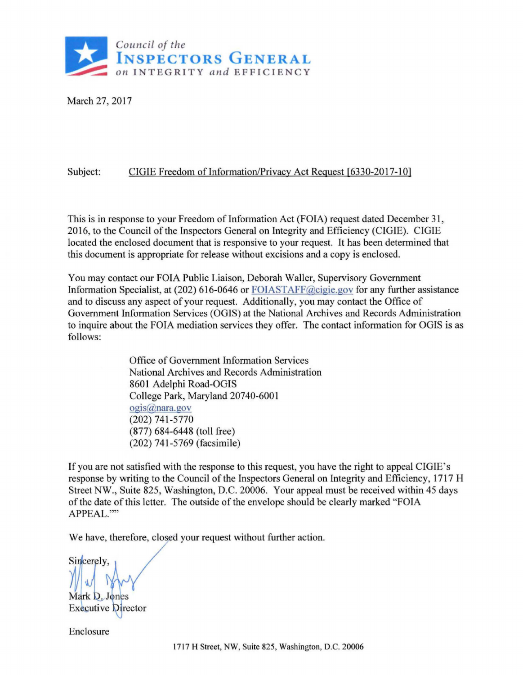

March 27, 2017

#### Subject: CIGIE Freedom of Information/Privacy Act Request [6330-2017-10]

This is in response to your Freedom of Information Act (FOIA) request dated December 31, 2016, to the Council of the Inspectors General on Integrity and Efficiency (CIGIE). CIGIE located the enclosed document that is responsive to your request. It has been determined that this document is appropriate for release without excisions and a copy is enclosed.

You may contact our FOIA Public Liaison, Deborah Waller, Supervisory Government Information Specialist, at (202) 616-0646 or FOIASTAFF@cigie.gov for any further assistance and to discuss any aspect of your request. Additionally, you may contact the Office of Government Information Services (OGIS) at the National Archives and Records Administration to inquire about the FOIA mediation services they offer. The contact information for OGIS is as follows:

> Office of Government Information Services National Archives and Records Administration 8601 Adelphi Road-OGIS College Park, Maryland 20740-600 I ogis@nara.gov (202) 741 -5770 (877) 684-6448 (toll free) (202) 741 -5769 (facsimile)

If you are not satisfied with the response to this request, you have the right to appeal CIGIE's response by writing to the Council of the Inspectors General on Integrity and Efficiency, 1717 H Street NW. , Suite 825, Washington, D.C. 20006. Your appeal must be received within 45 days of the date of this letter. The outside of the envelope should be clearly marked "FOIA APPEAL.""

We have, therefore, closed your request without further action.

Sincerely, Mark D. Jones

**Executive Director** 

Enclosure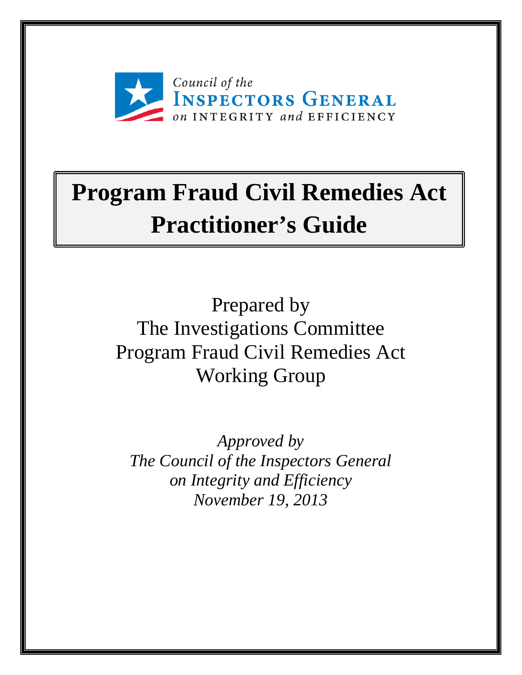

## **Program Fraud Civil Remedies Act Practitioner's Guide**

Prepared by The Investigations Committee Program Fraud Civil Remedies Act Working Group

*Approved by The Council of the Inspectors General on Integrity and Efficiency November 19, 2013*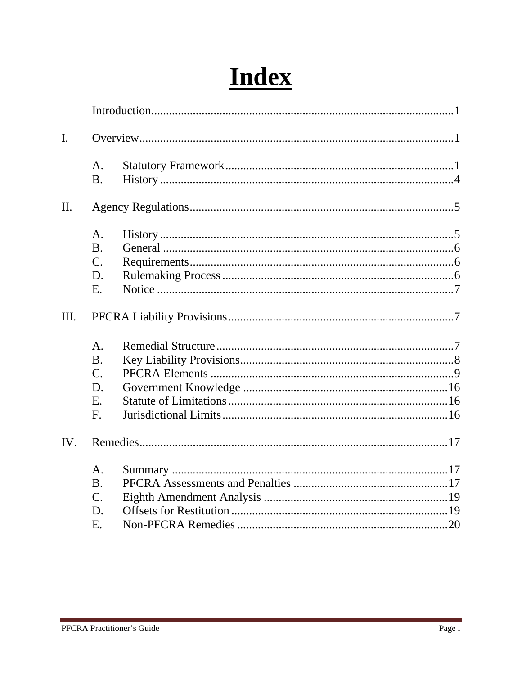## **Index**

| $\mathbf{I}$ . |                             |  |
|----------------|-----------------------------|--|
|                | A <sub>1</sub><br><b>B.</b> |  |
|                |                             |  |
| II.            |                             |  |
|                | A <sub>1</sub>              |  |
|                | <b>B.</b>                   |  |
|                | $C_{\cdot}$                 |  |
|                | D.                          |  |
|                | E.                          |  |
| III.           |                             |  |
|                | A.                          |  |
|                | <b>B.</b>                   |  |
|                | $\overline{C}$ .            |  |
|                | D.                          |  |
|                | E.                          |  |
|                | F.                          |  |
| IV.            |                             |  |
|                | A.                          |  |
|                | <b>B.</b>                   |  |
|                | $C_{\cdot}$                 |  |
|                | D.                          |  |
|                | Ε.                          |  |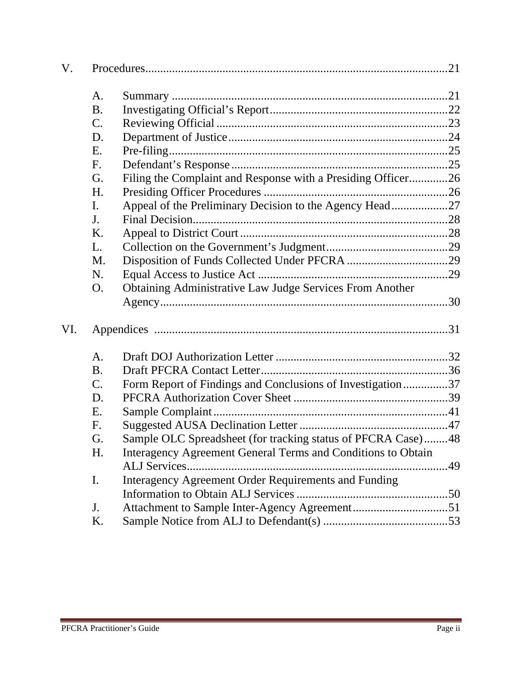| V.  |           |                                                              |  |  |
|-----|-----------|--------------------------------------------------------------|--|--|
|     | A.        |                                                              |  |  |
|     | <b>B.</b> |                                                              |  |  |
|     | $C$ .     |                                                              |  |  |
|     | D.        |                                                              |  |  |
|     | Ε.        |                                                              |  |  |
|     | F.        |                                                              |  |  |
|     | G.        | Filing the Complaint and Response with a Presiding Officer26 |  |  |
|     | H.        |                                                              |  |  |
|     | I.        | Appeal of the Preliminary Decision to the Agency Head27      |  |  |
|     | J.        |                                                              |  |  |
|     | Κ.        |                                                              |  |  |
|     | L.        |                                                              |  |  |
|     | M.        |                                                              |  |  |
|     | N.        |                                                              |  |  |
|     | O.        | Obtaining Administrative Law Judge Services From Another     |  |  |
|     |           |                                                              |  |  |
| VI. |           |                                                              |  |  |
|     | A.        |                                                              |  |  |
|     | <b>B.</b> |                                                              |  |  |
|     | $C$ .     | Form Report of Findings and Conclusions of Investigation37   |  |  |
|     | D.        |                                                              |  |  |
|     | Ε.        |                                                              |  |  |
|     | F.        |                                                              |  |  |
|     | G.        | Sample OLC Spreadsheet (for tracking status of PFCRA Case)48 |  |  |
|     | H.        | Interagency Agreement General Terms and Conditions to Obtain |  |  |
|     |           |                                                              |  |  |
|     | I.        | Interagency Agreement Order Requirements and Funding         |  |  |
|     |           |                                                              |  |  |
|     | J.        |                                                              |  |  |
|     | K.        |                                                              |  |  |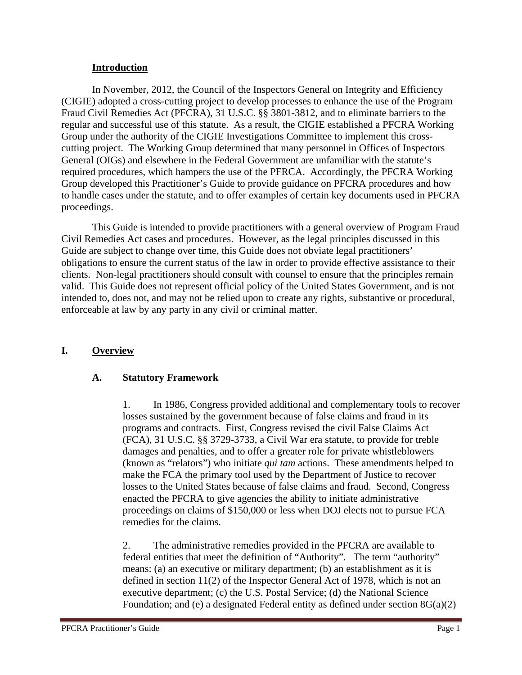#### **Introduction**

 In November, 2012, the Council of the Inspectors General on Integrity and Efficiency (CIGIE) adopted a cross-cutting project to develop processes to enhance the use of the Program Fraud Civil Remedies Act (PFCRA), 31 U.S.C. §§ 3801-3812, and to eliminate barriers to the regular and successful use of this statute. As a result, the CIGIE established a PFCRA Working Group under the authority of the CIGIE Investigations Committee to implement this crosscutting project. The Working Group determined that many personnel in Offices of Inspectors General (OIGs) and elsewhere in the Federal Government are unfamiliar with the statute's required procedures, which hampers the use of the PFRCA. Accordingly, the PFCRA Working Group developed this Practitioner's Guide to provide guidance on PFCRA procedures and how to handle cases under the statute, and to offer examples of certain key documents used in PFCRA proceedings.

This Guide is intended to provide practitioners with a general overview of Program Fraud Civil Remedies Act cases and procedures. However, as the legal principles discussed in this Guide are subject to change over time, this Guide does not obviate legal practitioners' obligations to ensure the current status of the law in order to provide effective assistance to their clients. Non-legal practitioners should consult with counsel to ensure that the principles remain valid. This Guide does not represent official policy of the United States Government, and is not intended to, does not, and may not be relied upon to create any rights, substantive or procedural, enforceable at law by any party in any civil or criminal matter.

#### **I. Overview**

#### **A. Statutory Framework**

1. In 1986, Congress provided additional and complementary tools to recover losses sustained by the government because of false claims and fraud in its programs and contracts. First, Congress revised the civil False Claims Act (FCA), 31 U.S.C. §§ 3729-3733, a Civil War era statute, to provide for treble damages and penalties, and to offer a greater role for private whistleblowers (known as "relators") who initiate *qui tam* actions. These amendments helped to make the FCA the primary tool used by the Department of Justice to recover losses to the United States because of false claims and fraud. Second, Congress enacted the PFCRA to give agencies the ability to initiate administrative proceedings on claims of \$150,000 or less when DOJ elects not to pursue FCA remedies for the claims.

2. The administrative remedies provided in the PFCRA are available to federal entities that meet the definition of "Authority". The term "authority" means: (a) an executive or military department; (b) an establishment as it is defined in section 11(2) of the Inspector General Act of 1978, which is not an executive department; (c) the U.S. Postal Service; (d) the National Science Foundation; and (e) a designated Federal entity as defined under section 8G(a)(2)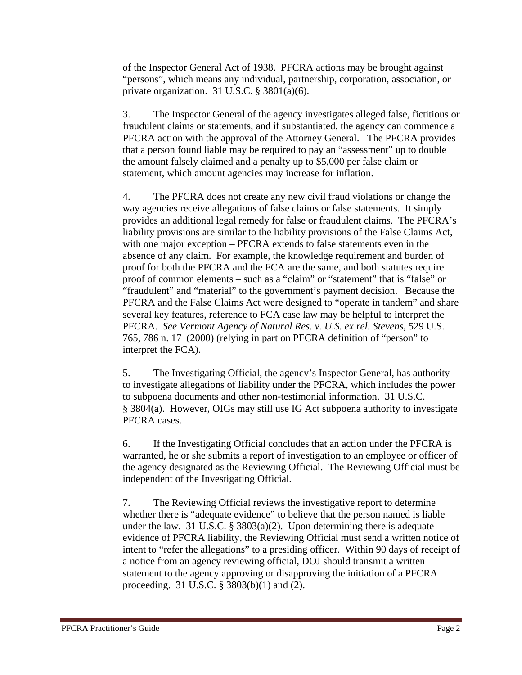of the Inspector General Act of 1938. PFCRA actions may be brought against "persons", which means any individual, partnership, corporation, association, or private organization. 31 U.S.C. § 3801(a)(6).

3. The Inspector General of the agency investigates alleged false, fictitious or fraudulent claims or statements, and if substantiated, the agency can commence a PFCRA action with the approval of the Attorney General. The PFCRA provides that a person found liable may be required to pay an "assessment" up to double the amount falsely claimed and a penalty up to \$5,000 per false claim or statement, which amount agencies may increase for inflation.

4. The PFCRA does not create any new civil fraud violations or change the way agencies receive allegations of false claims or false statements. It simply provides an additional legal remedy for false or fraudulent claims. The PFCRA's liability provisions are similar to the liability provisions of the False Claims Act, with one major exception – PFCRA extends to false statements even in the absence of any claim. For example, the knowledge requirement and burden of proof for both the PFCRA and the FCA are the same, and both statutes require proof of common elements – such as a "claim" or "statement" that is "false" or "fraudulent" and "material" to the government's payment decision. Because the PFCRA and the False Claims Act were designed to "operate in tandem" and share several key features, reference to FCA case law may be helpful to interpret the PFCRA. *See Vermont Agency of Natural Res. v. U.S. ex rel. Stevens*, 529 U.S. 765, 786 n. 17 (2000) (relying in part on PFCRA definition of "person" to interpret the FCA).

5. The Investigating Official, the agency's Inspector General, has authority to investigate allegations of liability under the PFCRA, which includes the power to subpoena documents and other non-testimonial information. 31 U.S.C. § 3804(a). However, OIGs may still use IG Act subpoena authority to investigate PFCRA cases.

6. If the Investigating Official concludes that an action under the PFCRA is warranted, he or she submits a report of investigation to an employee or officer of the agency designated as the Reviewing Official. The Reviewing Official must be independent of the Investigating Official.

7. The Reviewing Official reviews the investigative report to determine whether there is "adequate evidence" to believe that the person named is liable under the law. 31 U.S.C. § 3803(a)(2). Upon determining there is adequate evidence of PFCRA liability, the Reviewing Official must send a written notice of intent to "refer the allegations" to a presiding officer. Within 90 days of receipt of a notice from an agency reviewing official, DOJ should transmit a written statement to the agency approving or disapproving the initiation of a PFCRA proceeding. 31 U.S.C. § 3803(b)(1) and (2).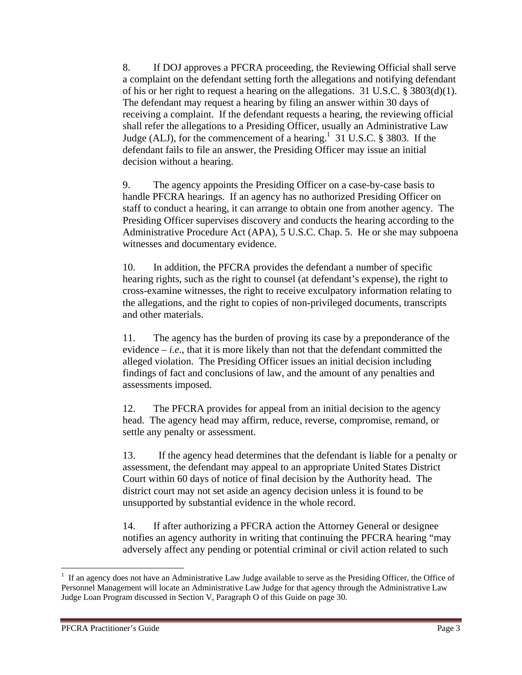8. If DOJ approves a PFCRA proceeding, the Reviewing Official shall serve a complaint on the defendant setting forth the allegations and notifying defendant of his or her right to request a hearing on the allegations. 31 U.S.C. § 3803(d)(1). The defendant may request a hearing by filing an answer within 30 days of receiving a complaint. If the defendant requests a hearing, the reviewing official shall refer the allegations to a Presiding Officer, usually an Administrative Law Judge (ALJ), for the commencement of a hearing.<sup>1</sup> 31 U.S.C. § 3803. If the defendant fails to file an answer, the Presiding Officer may issue an initial decision without a hearing.

9. The agency appoints the Presiding Officer on a case-by-case basis to handle PFCRA hearings. If an agency has no authorized Presiding Officer on staff to conduct a hearing, it can arrange to obtain one from another agency. The Presiding Officer supervises discovery and conducts the hearing according to the Administrative Procedure Act (APA), 5 U.S.C. Chap. 5. He or she may subpoena witnesses and documentary evidence.

10. In addition, the PFCRA provides the defendant a number of specific hearing rights, such as the right to counsel (at defendant's expense), the right to cross-examine witnesses, the right to receive exculpatory information relating to the allegations, and the right to copies of non-privileged documents, transcripts and other materials.

11. The agency has the burden of proving its case by a preponderance of the evidence *– i.e.,* that it is more likely than not that the defendant committed the alleged violation. The Presiding Officer issues an initial decision including findings of fact and conclusions of law, and the amount of any penalties and assessments imposed.

12. The PFCRA provides for appeal from an initial decision to the agency head. The agency head may affirm, reduce, reverse, compromise, remand, or settle any penalty or assessment.

13. If the agency head determines that the defendant is liable for a penalty or assessment, the defendant may appeal to an appropriate United States District Court within 60 days of notice of final decision by the Authority head. The district court may not set aside an agency decision unless it is found to be unsupported by substantial evidence in the whole record.

14. If after authorizing a PFCRA action the Attorney General or designee notifies an agency authority in writing that continuing the PFCRA hearing "may adversely affect any pending or potential criminal or civil action related to such

 <sup>1</sup> If an agency does not have an Administrative Law Judge available to serve as the Presiding Officer, the Office of Personnel Management will locate an Administrative Law Judge for that agency through the Administrative Law Judge Loan Program discussed in Section V, Paragraph O of this Guide on page 30.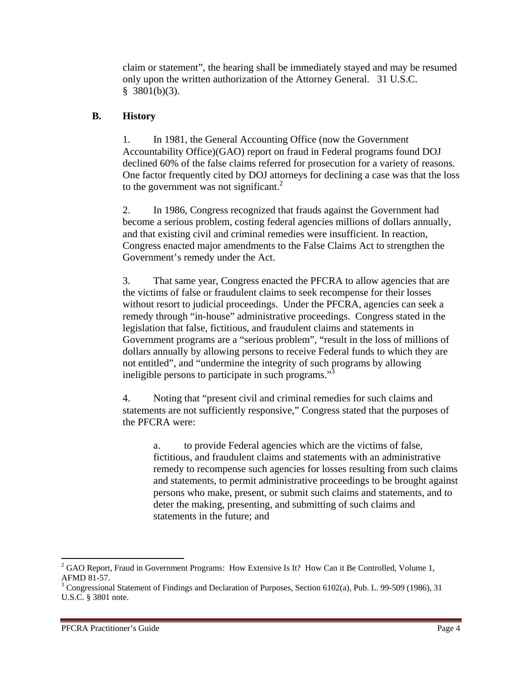claim or statement", the hearing shall be immediately stayed and may be resumed only upon the written authorization of the Attorney General. 31 U.S.C.  $§$  3801(b)(3).

#### **B. History**

1. In 1981, the General Accounting Office (now the Government Accountability Office)(GAO) report on fraud in Federal programs found DOJ declined 60% of the false claims referred for prosecution for a variety of reasons. One factor frequently cited by DOJ attorneys for declining a case was that the loss to the government was not significant. $^{2}$ 

2. In 1986, Congress recognized that frauds against the Government had become a serious problem, costing federal agencies millions of dollars annually, and that existing civil and criminal remedies were insufficient. In reaction, Congress enacted major amendments to the False Claims Act to strengthen the Government's remedy under the Act.

3. That same year, Congress enacted the PFCRA to allow agencies that are the victims of false or fraudulent claims to seek recompense for their losses without resort to judicial proceedings. Under the PFCRA, agencies can seek a remedy through "in-house" administrative proceedings. Congress stated in the legislation that false, fictitious, and fraudulent claims and statements in Government programs are a "serious problem", "result in the loss of millions of dollars annually by allowing persons to receive Federal funds to which they are not entitled", and "undermine the integrity of such programs by allowing ineligible persons to participate in such programs."<sup>3</sup>

4. Noting that "present civil and criminal remedies for such claims and statements are not sufficiently responsive," Congress stated that the purposes of the PFCRA were:

a. to provide Federal agencies which are the victims of false, fictitious, and fraudulent claims and statements with an administrative remedy to recompense such agencies for losses resulting from such claims and statements, to permit administrative proceedings to be brought against persons who make, present, or submit such claims and statements, and to deter the making, presenting, and submitting of such claims and statements in the future; and

  $2^{2}$  GAO Report, Fraud in Government Programs: How Extensive Is It? How Can it Be Controlled, Volume 1, AFMD 81-57.

<sup>&</sup>lt;sup>3</sup> Congressional Statement of Findings and Declaration of Purposes, Section 6102(a), Pub. L. 99-509 (1986), 31 U.S.C. § 3801 note.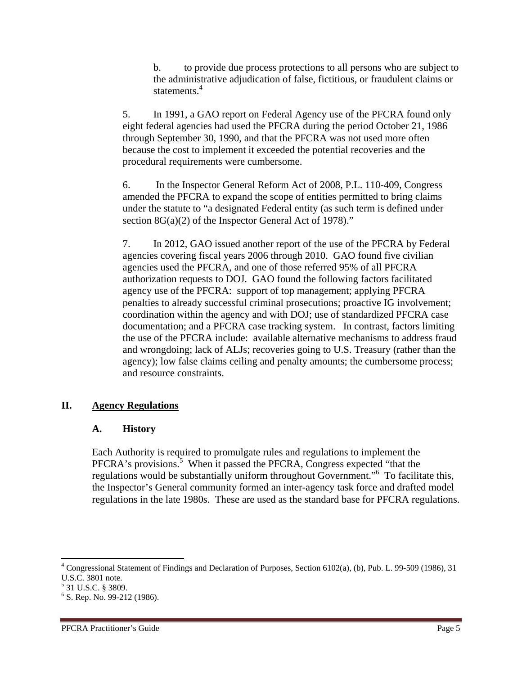b. to provide due process protections to all persons who are subject to the administrative adjudication of false, fictitious, or fraudulent claims or statements.<sup>4</sup>

5. In 1991, a GAO report on Federal Agency use of the PFCRA found only eight federal agencies had used the PFCRA during the period October 21, 1986 through September 30, 1990, and that the PFCRA was not used more often because the cost to implement it exceeded the potential recoveries and the procedural requirements were cumbersome.

6. In the Inspector General Reform Act of 2008, P.L. 110-409, Congress amended the PFCRA to expand the scope of entities permitted to bring claims under the statute to "a designated Federal entity (as such term is defined under section 8G(a)(2) of the Inspector General Act of 1978)."

7. In 2012, GAO issued another report of the use of the PFCRA by Federal agencies covering fiscal years 2006 through 2010. GAO found five civilian agencies used the PFCRA, and one of those referred 95% of all PFCRA authorization requests to DOJ. GAO found the following factors facilitated agency use of the PFCRA: support of top management; applying PFCRA penalties to already successful criminal prosecutions; proactive IG involvement; coordination within the agency and with DOJ; use of standardized PFCRA case documentation; and a PFCRA case tracking system. In contrast, factors limiting the use of the PFCRA include: available alternative mechanisms to address fraud and wrongdoing; lack of ALJs; recoveries going to U.S. Treasury (rather than the agency); low false claims ceiling and penalty amounts; the cumbersome process; and resource constraints.

#### **II. Agency Regulations**

#### **A. History**

Each Authority is required to promulgate rules and regulations to implement the PFCRA's provisions.<sup>5</sup> When it passed the PFCRA, Congress expected "that the regulations would be substantially uniform throughout Government."<sup>6</sup> To facilitate this, the Inspector's General community formed an inter-agency task force and drafted model regulations in the late 1980s. These are used as the standard base for PFCRA regulations.

<sup>&</sup>lt;sup>4</sup> Congressional Statement of Findings and Declaration of Purposes, Section 6102(a), (b), Pub. L. 99-509 (1986), 31 U.S.C. 3801 note.

<sup>5</sup> 31 U.S.C. § 3809.

<sup>&</sup>lt;sup>6</sup> S. Rep. No. 99-212 (1986).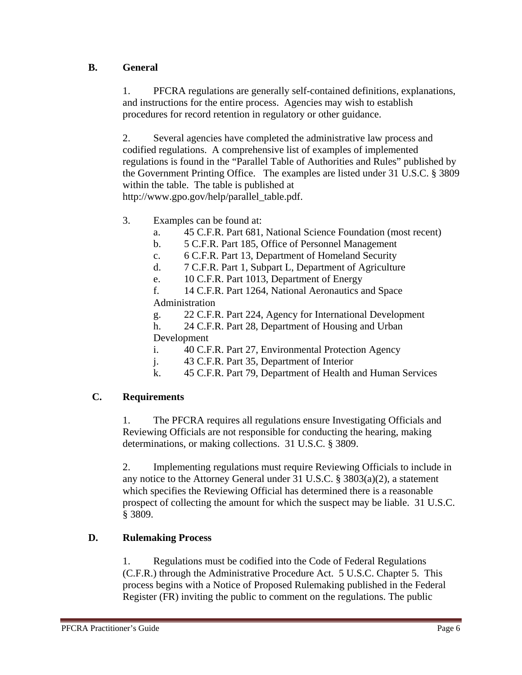#### **B. General**

1. PFCRA regulations are generally self-contained definitions, explanations, and instructions for the entire process. Agencies may wish to establish procedures for record retention in regulatory or other guidance.

2. Several agencies have completed the administrative law process and codified regulations. A comprehensive list of examples of implemented regulations is found in the "Parallel Table of Authorities and Rules" published by the Government Printing Office. The examples are listed under 31 U.S.C. § 3809 within the table. The table is published at http://www.gpo.gov/help/parallel\_table.pdf.

- 3. Examples can be found at:
	- a. 45 C.F.R. Part 681, National Science Foundation (most recent)
	- b. 5 C.F.R. Part 185, Office of Personnel Management
	- c. 6 C.F.R. Part 13, Department of Homeland Security
	- d. 7 C.F.R. Part 1, Subpart L, Department of Agriculture
	- e. 10 C.F.R. Part 1013, Department of Energy

f. 14 C.F.R. Part 1264, National Aeronautics and Space Administration

g. 22 C.F.R. Part 224, Agency for International Development

h. 24 C.F.R. Part 28, Department of Housing and Urban Development

- i. 40 C.F.R. Part 27, Environmental Protection Agency
- j. 43 C.F.R. Part 35, Department of Interior
- k. 45 C.F.R. Part 79, Department of Health and Human Services

#### **C. Requirements**

1. The PFCRA requires all regulations ensure Investigating Officials and Reviewing Officials are not responsible for conducting the hearing, making determinations, or making collections. 31 U.S.C. § 3809.

2. Implementing regulations must require Reviewing Officials to include in any notice to the Attorney General under 31 U.S.C. § 3803(a)(2), a statement which specifies the Reviewing Official has determined there is a reasonable prospect of collecting the amount for which the suspect may be liable. 31 U.S.C. § 3809.

#### **D. Rulemaking Process**

1. Regulations must be codified into the Code of Federal Regulations (C.F.R.) through the Administrative Procedure Act. 5 U.S.C. Chapter 5. This process begins with a Notice of Proposed Rulemaking published in the Federal Register (FR) inviting the public to comment on the regulations. The public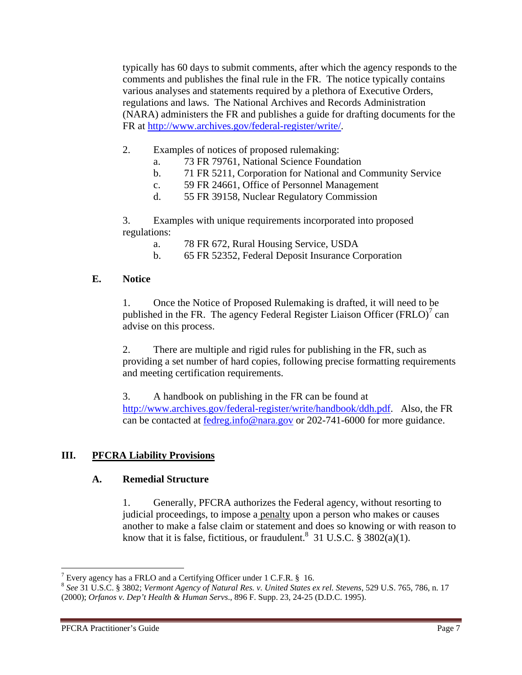typically has 60 days to submit comments, after which the agency responds to the comments and publishes the final rule in the FR. The notice typically contains various analyses and statements required by a plethora of Executive Orders, regulations and laws. The National Archives and Records Administration (NARA) administers the FR and publishes a guide for drafting documents for the FR at http://www.archives.gov/federal-register/write/.

- 2. Examples of notices of proposed rulemaking:
	- a. 73 FR 79761, National Science Foundation
	- b. 71 FR 5211, Corporation for National and Community Service
	- c. 59 FR 24661, Office of Personnel Management
	- d. 55 FR 39158, Nuclear Regulatory Commission

3. Examples with unique requirements incorporated into proposed regulations:

- a. 78 FR 672, Rural Housing Service, USDA
- b. 65 FR 52352, Federal Deposit Insurance Corporation

#### **E. Notice**

1. Once the Notice of Proposed Rulemaking is drafted, it will need to be published in the FR. The agency Federal Register Liaison Officer (FRLO)<sup>7</sup> can advise on this process.

2. There are multiple and rigid rules for publishing in the FR, such as providing a set number of hard copies, following precise formatting requirements and meeting certification requirements.

3. A handbook on publishing in the FR can be found at http://www.archives.gov/federal-register/write/handbook/ddh.pdf. Also, the FR can be contacted at fedreg.info@nara.gov or 202-741-6000 for more guidance.

#### **III. PFCRA Liability Provisions**

#### **A. Remedial Structure**

1. Generally, PFCRA authorizes the Federal agency, without resorting to judicial proceedings, to impose a penalty upon a person who makes or causes another to make a false claim or statement and does so knowing or with reason to know that it is false, fictitious, or fraudulent.<sup>8</sup> 31 U.S.C. § 3802(a)(1).

<sup>&</sup>lt;sup>7</sup> Every agency has a FRLO and a Certifying Officer under 1 C.F.R. § 16.

<sup>8</sup> *See* 31 U.S.C. § 3802; *Vermont Agency of Natural Res. v. United States ex rel. Stevens*, 529 U.S. 765, 786, n. 17 (2000); *Orfanos v. Dep't Health & Human Servs*., 896 F. Supp. 23, 24-25 (D.D.C. 1995).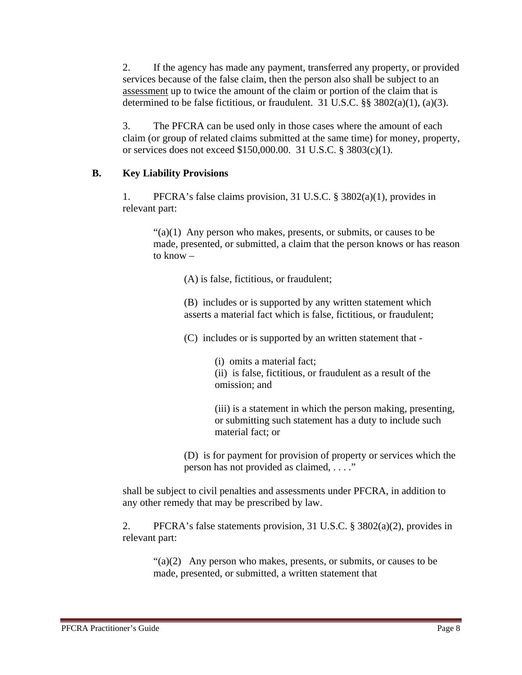2. If the agency has made any payment, transferred any property, or provided services because of the false claim, then the person also shall be subject to an assessment up to twice the amount of the claim or portion of the claim that is determined to be false fictitious, or fraudulent. 31 U.S.C. §§ 3802(a)(1), (a)(3).

3. The PFCRA can be used only in those cases where the amount of each claim (or group of related claims submitted at the same time) for money, property, or services does not exceed \$150,000.00. 31 U.S.C. § 3803(c)(1).

#### **B. Key Liability Provisions**

1. PFCRA's false claims provision, 31 U.S.C. § 3802(a)(1), provides in relevant part:

 $\lq(2)(1)$  Any person who makes, presents, or submits, or causes to be made, presented, or submitted, a claim that the person knows or has reason to know –

(A) is false, fictitious, or fraudulent;

(B) includes or is supported by any written statement which asserts a material fact which is false, fictitious, or fraudulent;

(C) includes or is supported by an written statement that -

(i) omits a material fact;

(ii) is false, fictitious, or fraudulent as a result of the omission; and

(iii) is a statement in which the person making, presenting, or submitting such statement has a duty to include such material fact; or

(D) is for payment for provision of property or services which the person has not provided as claimed, . . . ."

shall be subject to civil penalties and assessments under PFCRA, in addition to any other remedy that may be prescribed by law.

2. PFCRA's false statements provision, 31 U.S.C. § 3802(a)(2), provides in relevant part:

 $\lq(2)$  Any person who makes, presents, or submits, or causes to be made, presented, or submitted, a written statement that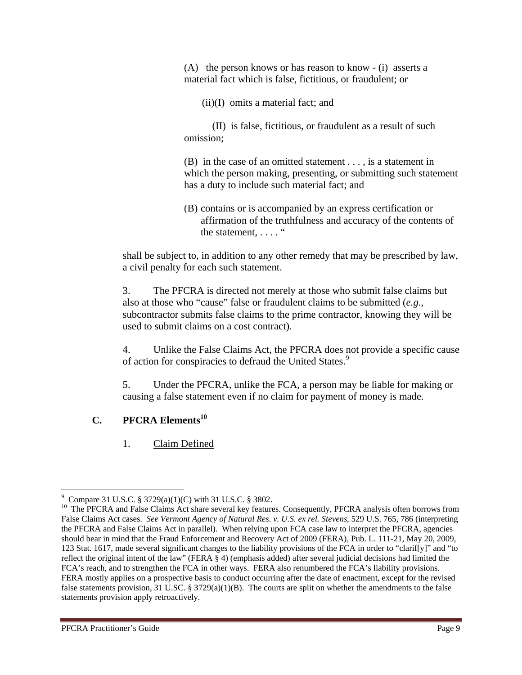(A) the person knows or has reason to know - (i) asserts a material fact which is false, fictitious, or fraudulent; or

(ii)(I) omits a material fact; and

 (II) is false, fictitious, or fraudulent as a result of such omission;

(B) in the case of an omitted statement . . . , is a statement in which the person making, presenting, or submitting such statement has a duty to include such material fact; and

(B) contains or is accompanied by an express certification or affirmation of the truthfulness and accuracy of the contents of the statement, .... "

shall be subject to, in addition to any other remedy that may be prescribed by law, a civil penalty for each such statement.

3. The PFCRA is directed not merely at those who submit false claims but also at those who "cause" false or fraudulent claims to be submitted (*e.g*., subcontractor submits false claims to the prime contractor, knowing they will be used to submit claims on a cost contract).

4. Unlike the False Claims Act, the PFCRA does not provide a specific cause of action for conspiracies to defraud the United States.<sup>9</sup>

5. Under the PFCRA, unlike the FCA, a person may be liable for making or causing a false statement even if no claim for payment of money is made.

#### **C. PFCRA Elements**<sup>10</sup>

1. Claim Defined

 9 Compare 31 U.S.C. § 3729(a)(1)(C) with 31 U.S.C. § 3802.

<sup>&</sup>lt;sup>10</sup> The PFCRA and False Claims Act share several key features. Consequently, PFCRA analysis often borrows from False Claims Act cases. *See Vermont Agency of Natural Res. v. U.S. ex rel. Stevens*, 529 U.S. 765, 786 (interpreting the PFCRA and False Claims Act in parallel). When relying upon FCA case law to interpret the PFCRA, agencies should bear in mind that the Fraud Enforcement and Recovery Act of 2009 (FERA), Pub. L. 111-21, May 20, 2009, 123 Stat. 1617, made several significant changes to the liability provisions of the FCA in order to "clarif[y]" and "to reflect the original intent of the law" (FERA § 4) (emphasis added) after several judicial decisions had limited the FCA's reach, and to strengthen the FCA in other ways. FERA also renumbered the FCA's liability provisions. FERA mostly applies on a prospective basis to conduct occurring after the date of enactment, except for the revised false statements provision, 31 U.S.C. § 3729(a)(1)(B). The courts are split on whether the amendments to the false statements provision apply retroactively.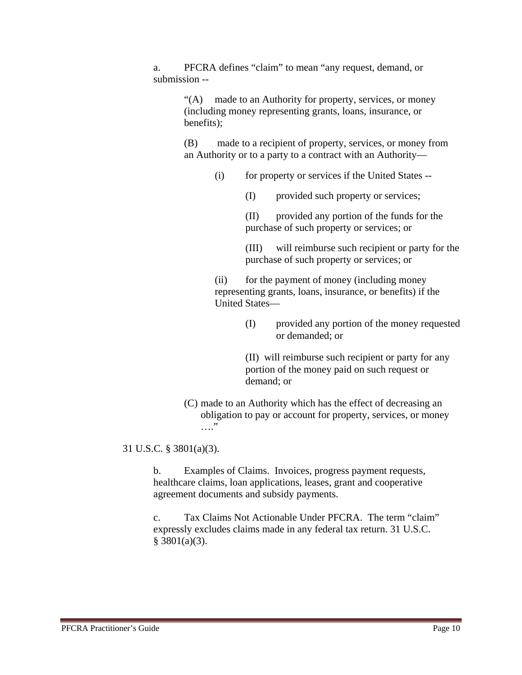a. PFCRA defines "claim" to mean "any request, demand, or submission --

> "(A) made to an Authority for property, services, or money (including money representing grants, loans, insurance, or benefits);

(B) made to a recipient of property, services, or money from an Authority or to a party to a contract with an Authority—

- (i) for property or services if the United States --
	- (I) provided such property or services;

(II) provided any portion of the funds for the purchase of such property or services; or

(III) will reimburse such recipient or party for the purchase of such property or services; or

(ii) for the payment of money (including money representing grants, loans, insurance, or benefits) if the United States—

> (I) provided any portion of the money requested or demanded; or

(II) will reimburse such recipient or party for any portion of the money paid on such request or demand; or

(C) made to an Authority which has the effect of decreasing an obligation to pay or account for property, services, or money …."

31 U.S.C. § 3801(a)(3).

b. Examples of Claims. Invoices, progress payment requests, healthcare claims, loan applications, leases, grant and cooperative agreement documents and subsidy payments.

c. Tax Claims Not Actionable Under PFCRA. The term "claim" expressly excludes claims made in any federal tax return. 31 U.S.C.  $§$  3801(a)(3).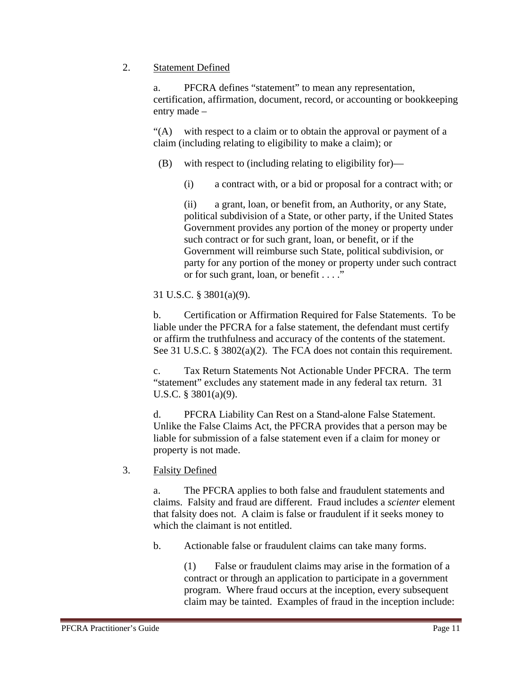#### 2. Statement Defined

a. PFCRA defines "statement" to mean any representation, certification, affirmation, document, record, or accounting or bookkeeping entry made –

"(A) with respect to a claim or to obtain the approval or payment of a claim (including relating to eligibility to make a claim); or

(B) with respect to (including relating to eligibility for)—

(i) a contract with, or a bid or proposal for a contract with; or

(ii) a grant, loan, or benefit from, an Authority, or any State, political subdivision of a State, or other party, if the United States Government provides any portion of the money or property under such contract or for such grant, loan, or benefit, or if the Government will reimburse such State, political subdivision, or party for any portion of the money or property under such contract or for such grant, loan, or benefit . . . ."

31 U.S.C. § 3801(a)(9).

b. Certification or Affirmation Required for False Statements. To be liable under the PFCRA for a false statement, the defendant must certify or affirm the truthfulness and accuracy of the contents of the statement. See 31 U.S.C. § 3802(a)(2). The FCA does not contain this requirement.

c. Tax Return Statements Not Actionable Under PFCRA. The term "statement" excludes any statement made in any federal tax return. 31 U.S.C. § 3801(a)(9).

d. PFCRA Liability Can Rest on a Stand-alone False Statement. Unlike the False Claims Act, the PFCRA provides that a person may be liable for submission of a false statement even if a claim for money or property is not made.

3. Falsity Defined

a. The PFCRA applies to both false and fraudulent statements and claims. Falsity and fraud are different. Fraud includes a *scienter* element that falsity does not. A claim is false or fraudulent if it seeks money to which the claimant is not entitled.

b. Actionable false or fraudulent claims can take many forms.

(1) False or fraudulent claims may arise in the formation of a contract or through an application to participate in a government program. Where fraud occurs at the inception, every subsequent claim may be tainted. Examples of fraud in the inception include: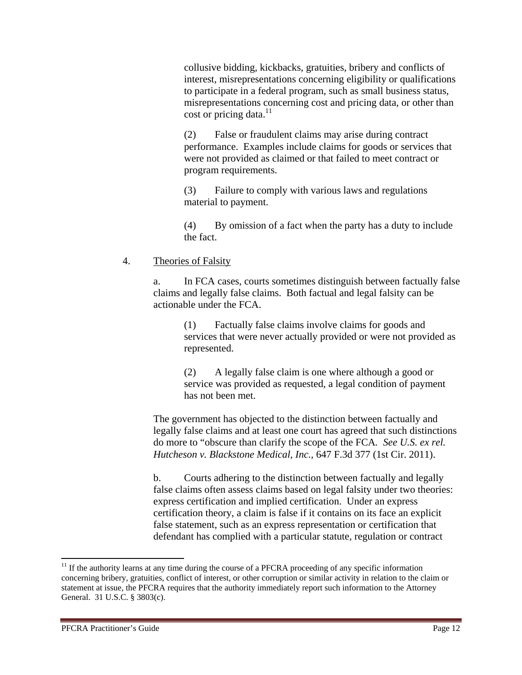collusive bidding, kickbacks, gratuities, bribery and conflicts of interest, misrepresentations concerning eligibility or qualifications to participate in a federal program, such as small business status, misrepresentations concerning cost and pricing data, or other than cost or pricing data. $^{11}$ 

(2) False or fraudulent claims may arise during contract performance. Examples include claims for goods or services that were not provided as claimed or that failed to meet contract or program requirements.

(3) Failure to comply with various laws and regulations material to payment.

(4) By omission of a fact when the party has a duty to include the fact.

#### 4. Theories of Falsity

a. In FCA cases, courts sometimes distinguish between factually false claims and legally false claims. Both factual and legal falsity can be actionable under the FCA.

(1) Factually false claims involve claims for goods and services that were never actually provided or were not provided as represented.

(2) A legally false claim is one where although a good or service was provided as requested, a legal condition of payment has not been met.

The government has objected to the distinction between factually and legally false claims and at least one court has agreed that such distinctions do more to "obscure than clarify the scope of the FCA*. See U.S. ex rel. Hutcheson v. Blackstone Medical, Inc.,* 647 F.3d 377 (1st Cir. 2011).

b. Courts adhering to the distinction between factually and legally false claims often assess claims based on legal falsity under two theories: express certification and implied certification. Under an express certification theory, a claim is false if it contains on its face an explicit false statement, such as an express representation or certification that defendant has complied with a particular statute, regulation or contract

 $11$  If the authority learns at any time during the course of a PFCRA proceeding of any specific information concerning bribery, gratuities, conflict of interest, or other corruption or similar activity in relation to the claim or statement at issue, the PFCRA requires that the authority immediately report such information to the Attorney General. 31 U.S.C. § 3803(c).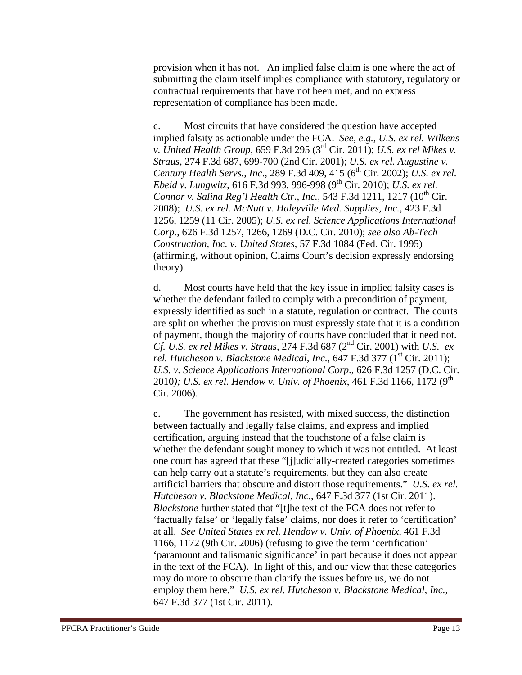provision when it has not. An implied false claim is one where the act of submitting the claim itself implies compliance with statutory, regulatory or contractual requirements that have not been met, and no express representation of compliance has been made.

c. Most circuits that have considered the question have accepted implied falsity as actionable under the FCA. *See, e.g., U.S. ex rel. Wilkens v. United Health Group*, 659 F.3d 295 (3rd Cir. 2011); *U.S. ex rel Mikes v. Straus*, 274 F.3d 687, 699-700 (2nd Cir. 2001); *U.S. ex rel. Augustine v. Century Health Servs., Inc., 289 F.3d 409, 415 (6<sup>th</sup> Cir. 2002); <i>U.S. ex rel. Ebeid v. Lungwitz*, 616 F.3d 993, 996-998 (9<sup>th</sup> Cir. 2010); *U.S. ex rel. Connor v. Salina Reg'l Health Ctr., Inc.,* 543 F.3d 1211, 1217 (10<sup>th</sup> Cir. 2008); *U.S. ex rel. McNutt v. Haleyville Med. Supplies, Inc.*, 423 F.3d 1256, 1259 (11 Cir. 2005); *U.S. ex rel. Science Applications International Corp.*, 626 F.3d 1257, 1266, 1269 (D.C. Cir. 2010); *see also Ab-Tech Construction, Inc. v. United States*, 57 F.3d 1084 (Fed. Cir. 1995) (affirming, without opinion, Claims Court's decision expressly endorsing theory).

d. Most courts have held that the key issue in implied falsity cases is whether the defendant failed to comply with a precondition of payment, expressly identified as such in a statute, regulation or contract. The courts are split on whether the provision must expressly state that it is a condition of payment, though the majority of courts have concluded that it need not. *Cf. U.S. ex rel Mikes v. Straus*, 274 F.3d 687 (2nd Cir. 2001) with *U.S. ex rel. Hutcheson v. Blackstone Medical, Inc., 647 F.3d 377 (1<sup>st</sup> Cir. 2011); U.S. v. Science Applications International Corp*., 626 F.3d 1257 (D.C. Cir. 2010); U.S. ex rel. Hendow v. Univ. of Phoenix, 461 F.3d 1166, 1172 (9<sup>th</sup>) Cir. 2006).

e. The government has resisted, with mixed success, the distinction between factually and legally false claims, and express and implied certification, arguing instead that the touchstone of a false claim is whether the defendant sought money to which it was not entitled. At least one court has agreed that these "[j]udicially-created categories sometimes can help carry out a statute's requirements, but they can also create artificial barriers that obscure and distort those requirements." *U.S. ex rel. Hutcheson v. Blackstone Medical, Inc*., 647 F.3d 377 (1st Cir. 2011). *Blackstone* further stated that "[t]he text of the FCA does not refer to 'factually false' or 'legally false' claims, nor does it refer to 'certification' at all. *See United States ex rel. Hendow v. Univ. of Phoenix,* 461 F.3d 1166, 1172 (9th Cir. 2006) (refusing to give the term 'certification' 'paramount and talismanic significance' in part because it does not appear in the text of the FCA). In light of this, and our view that these categories may do more to obscure than clarify the issues before us, we do not employ them here." *U.S. ex rel. Hutcheson v. Blackstone Medical, Inc.,* 647 F.3d 377 (1st Cir. 2011).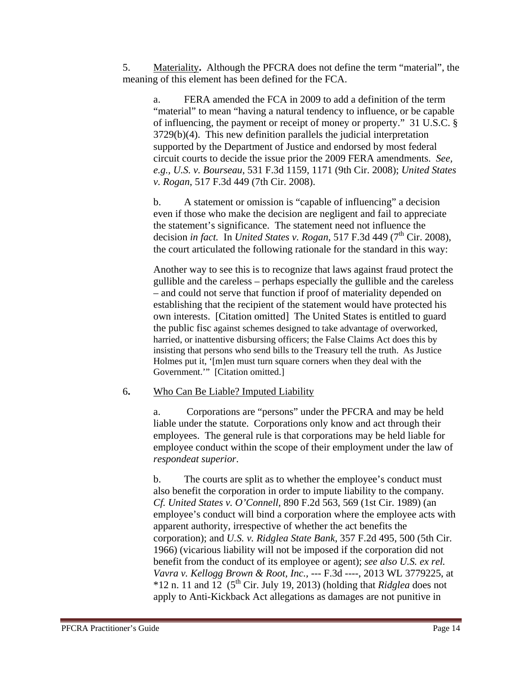5. Materiality**.** Although the PFCRA does not define the term "material", the meaning of this element has been defined for the FCA.

a. FERA amended the FCA in 2009 to add a definition of the term "material" to mean "having a natural tendency to influence, or be capable of influencing, the payment or receipt of money or property." 31 U.S.C. § 3729(b)(4). This new definition parallels the judicial interpretation supported by the Department of Justice and endorsed by most federal circuit courts to decide the issue prior the 2009 FERA amendments. *See, e.g., U.S. v. Bourseau*, 531 F.3d 1159, 1171 (9th Cir. 2008); *United States v. Rogan*, 517 F.3d 449 (7th Cir. 2008).

b. A statement or omission is "capable of influencing" a decision even if those who make the decision are negligent and fail to appreciate the statement's significance. The statement need not influence the decision *in fact.* In *United States v. Rogan*, 517 F.3d 449 ( $7<sup>th</sup>$  Cir. 2008), the court articulated the following rationale for the standard in this way:

Another way to see this is to recognize that laws against fraud protect the gullible and the careless – perhaps especially the gullible and the careless – and could not serve that function if proof of materiality depended on establishing that the recipient of the statement would have protected his own interests. [Citation omitted] The United States is entitled to guard the public fisc against schemes designed to take advantage of overworked, harried, or inattentive disbursing officers; the False Claims Act does this by insisting that persons who send bills to the Treasury tell the truth. As Justice Holmes put it, '[m]en must turn square corners when they deal with the Government.'" [Citation omitted.]

#### 6**.** Who Can Be Liable? Imputed Liability

a.Corporations are "persons" under the PFCRA and may be held liable under the statute. Corporations only know and act through their employees. The general rule is that corporations may be held liable for employee conduct within the scope of their employment under the law of *respondeat superior*.

b. The courts are split as to whether the employee's conduct must also benefit the corporation in order to impute liability to the company*. Cf. United States v. O'Connell*, 890 F.2d 563, 569 (1st Cir. 1989) (an employee's conduct will bind a corporation where the employee acts with apparent authority, irrespective of whether the act benefits the corporation); and *U.S. v. Ridglea State Bank,* 357 F.2d 495, 500 (5th Cir. 1966) (vicarious liability will not be imposed if the corporation did not benefit from the conduct of its employee or agent); *see also U.S. ex rel. Vavra v. Kellogg Brown & Root, Inc.,* --- F.3d ----, 2013 WL 3779225, at  $*12$  n. 11 and  $12$  (5<sup>th</sup> Cir. July 19, 2013) (holding that *Ridglea* does not apply to Anti-Kickback Act allegations as damages are not punitive in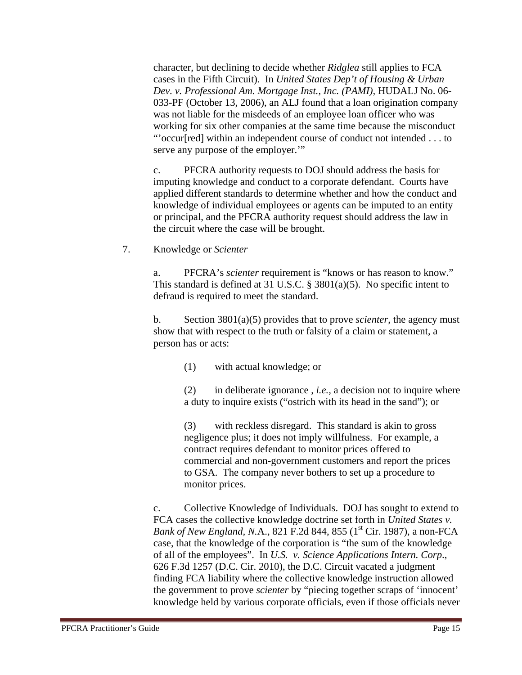character, but declining to decide whether *Ridglea* still applies to FCA cases in the Fifth Circuit). In *United States Dep't of Housing & Urban Dev. v. Professional Am. Mortgage Inst., Inc. (PAMI),* HUDALJ No. 06- 033-PF (October 13, 2006), an ALJ found that a loan origination company was not liable for the misdeeds of an employee loan officer who was working for six other companies at the same time because the misconduct "'occur[red] within an independent course of conduct not intended . . . to serve any purpose of the employer."

c. PFCRA authority requests to DOJ should address the basis for imputing knowledge and conduct to a corporate defendant. Courts have applied different standards to determine whether and how the conduct and knowledge of individual employees or agents can be imputed to an entity or principal, and the PFCRA authority request should address the law in the circuit where the case will be brought.

7. Knowledge or *Scienter* 

a. PFCRA's *scienter* requirement is "knows or has reason to know." This standard is defined at 31 U.S.C.  $\S$  3801(a)(5). No specific intent to defraud is required to meet the standard.

b. Section 3801(a)(5) provides that to prove *scienter*, the agency must show that with respect to the truth or falsity of a claim or statement, a person has or acts:

(1) with actual knowledge; or

(2) in deliberate ignorance , *i.e.,* a decision not to inquire where a duty to inquire exists ("ostrich with its head in the sand"); or

(3) with reckless disregard. This standard is akin to gross negligence plus; it does not imply willfulness. For example, a contract requires defendant to monitor prices offered to commercial and non-government customers and report the prices to GSA. The company never bothers to set up a procedure to monitor prices.

c. Collective Knowledge of Individuals. DOJ has sought to extend to FCA cases the collective knowledge doctrine set forth in *United States v. Bank of New England, N.A., 821 F.2d 844, 855 (1<sup>st</sup> Cir. 1987), a non-FCA* case, that the knowledge of the corporation is "the sum of the knowledge of all of the employees". In *U.S. v. Science Applications Intern. Corp*., 626 F.3d 1257 (D.C. Cir. 2010), the D.C. Circuit vacated a judgment finding FCA liability where the collective knowledge instruction allowed the government to prove *scienter* by "piecing together scraps of 'innocent' knowledge held by various corporate officials, even if those officials never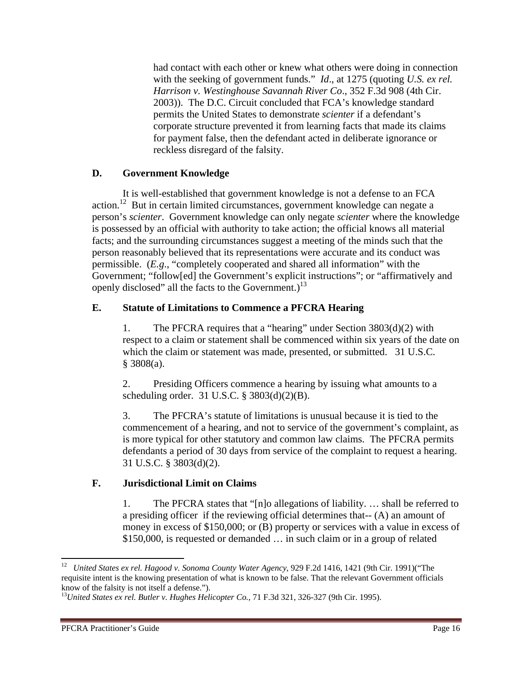had contact with each other or knew what others were doing in connection with the seeking of government funds." *Id.*, at 1275 (quoting *U.S. ex rel. Harrison v. Westinghouse Savannah River Co*., 352 F.3d 908 (4th Cir. 2003)). The D.C. Circuit concluded that FCA's knowledge standard permits the United States to demonstrate *scienter* if a defendant's corporate structure prevented it from learning facts that made its claims for payment false, then the defendant acted in deliberate ignorance or reckless disregard of the falsity.

#### **D. Government Knowledge**

It is well-established that government knowledge is not a defense to an FCA action.12 But in certain limited circumstances, government knowledge can negate a person's *scienter*. Government knowledge can only negate *scienter* where the knowledge is possessed by an official with authority to take action; the official knows all material facts; and the surrounding circumstances suggest a meeting of the minds such that the person reasonably believed that its representations were accurate and its conduct was permissible. (*E.g*., "completely cooperated and shared all information" with the Government; "follow[ed] the Government's explicit instructions"; or "affirmatively and openly disclosed" all the facts to the Government.)<sup>13</sup>

#### **E. Statute of Limitations to Commence a PFCRA Hearing**

1. The PFCRA requires that a "hearing" under Section 3803(d)(2) with respect to a claim or statement shall be commenced within six years of the date on which the claim or statement was made, presented, or submitted. 31 U.S.C. § 3808(a).

2. Presiding Officers commence a hearing by issuing what amounts to a scheduling order. 31 U.S.C. § 3803(d)(2)(B).

3. The PFCRA's statute of limitations is unusual because it is tied to the commencement of a hearing, and not to service of the government's complaint, as is more typical for other statutory and common law claims. The PFCRA permits defendants a period of 30 days from service of the complaint to request a hearing. 31 U.S.C. § 3803(d)(2).

#### **F. Jurisdictional Limit on Claims**

1. The PFCRA states that "[n]o allegations of liability. … shall be referred to a presiding officer if the reviewing official determines that-- (A) an amount of money in excess of \$150,000; or (B) property or services with a value in excess of \$150,000, is requested or demanded … in such claim or in a group of related

<sup>12</sup> *United States ex rel. Hagood v. Sonoma County Water Agency*, 929 F.2d 1416, 1421 (9th Cir. 1991)("The requisite intent is the knowing presentation of what is known to be false. That the relevant Government officials know of the falsity is not itself a defense.").

<sup>13</sup>*United States ex rel. Butler v. Hughes Helicopter Co.,* 71 F.3d 321, 326-327 (9th Cir. 1995).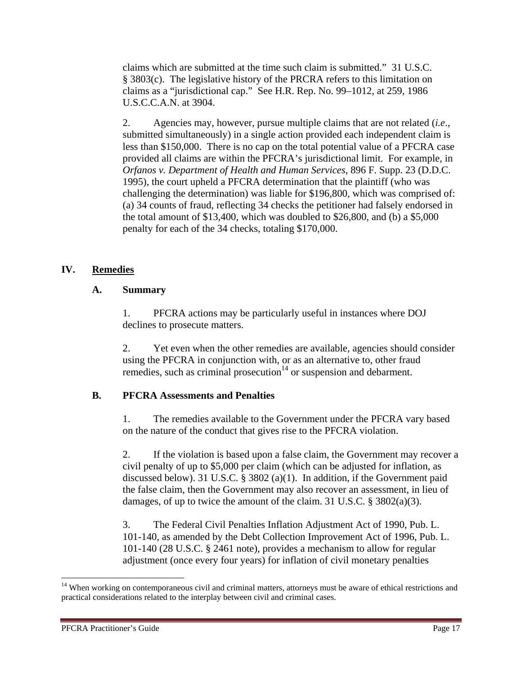claims which are submitted at the time such claim is submitted." 31 U.S.C. § 3803(c). The legislative history of the PRCRA refers to this limitation on claims as a "jurisdictional cap." See H.R. Rep. No. 99–1012, at 259, 1986 U.S.C.C.A.N. at 3904.

2. Agencies may, however, pursue multiple claims that are not related (*i.e*., submitted simultaneously) in a single action provided each independent claim is less than \$150,000. There is no cap on the total potential value of a PFCRA case provided all claims are within the PFCRA's jurisdictional limit. For example, in *Orfanos v. Department of Health and Human Services*, 896 F. Supp. 23 (D.D.C. 1995), the court upheld a PFCRA determination that the plaintiff (who was challenging the determination) was liable for \$196,800, which was comprised of: (a) 34 counts of fraud, reflecting 34 checks the petitioner had falsely endorsed in the total amount of \$13,400, which was doubled to \$26,800, and (b) a \$5,000 penalty for each of the 34 checks, totaling \$170,000.

#### **IV. Remedies**

#### **A. Summary**

1. PFCRA actions may be particularly useful in instances where DOJ declines to prosecute matters.

2. Yet even when the other remedies are available, agencies should consider using the PFCRA in conjunction with, or as an alternative to, other fraud remedies, such as criminal prosecution<sup>14</sup> or suspension and debarment.

#### **B. PFCRA Assessments and Penalties**

1. The remedies available to the Government under the PFCRA vary based on the nature of the conduct that gives rise to the PFCRA violation.

2. If the violation is based upon a false claim, the Government may recover a civil penalty of up to \$5,000 per claim (which can be adjusted for inflation, as discussed below). 31 U.S.C. § 3802 (a)(1). In addition, if the Government paid the false claim, then the Government may also recover an assessment, in lieu of damages, of up to twice the amount of the claim. 31 U.S.C. § 3802(a)(3).

3. The Federal Civil Penalties Inflation Adjustment Act of 1990, Pub. L. 101-140, as amended by the Debt Collection Improvement Act of 1996, Pub. L. 101-140 (28 U.S.C. § 2461 note), provides a mechanism to allow for regular adjustment (once every four years) for inflation of civil monetary penalties

<sup>&</sup>lt;sup>14</sup> When working on contemporaneous civil and criminal matters, attorneys must be aware of ethical restrictions and practical considerations related to the interplay between civil and criminal cases.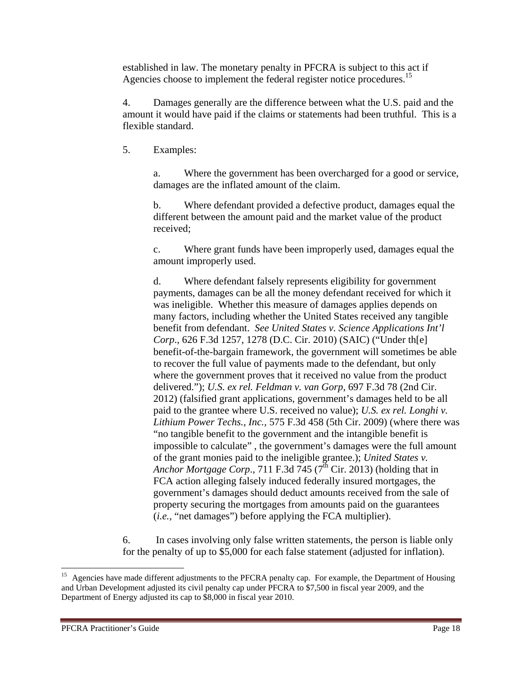established in law. The monetary penalty in PFCRA is subject to this act if Agencies choose to implement the federal register notice procedures.<sup>15</sup>

4. Damages generally are the difference between what the U.S. paid and the amount it would have paid if the claims or statements had been truthful. This is a flexible standard.

5. Examples:

a. Where the government has been overcharged for a good or service, damages are the inflated amount of the claim.

b. Where defendant provided a defective product, damages equal the different between the amount paid and the market value of the product received;

c. Where grant funds have been improperly used, damages equal the amount improperly used.

d. Where defendant falsely represents eligibility for government payments, damages can be all the money defendant received for which it was ineligible. Whether this measure of damages applies depends on many factors, including whether the United States received any tangible benefit from defendant. *See United States v. Science Applications Int'l Corp*., 626 F.3d 1257, 1278 (D.C. Cir. 2010) (SAIC) ("Under th[e] benefit-of-the-bargain framework, the government will sometimes be able to recover the full value of payments made to the defendant, but only where the government proves that it received no value from the product delivered."); *U.S. ex rel. Feldman v. van Gorp*, 697 F.3d 78 (2nd Cir. 2012) (falsified grant applications, government's damages held to be all paid to the grantee where U.S. received no value); *U.S. ex rel. Longhi v. Lithium Power Techs., Inc.,* 575 F.3d 458 (5th Cir. 2009) (where there was "no tangible benefit to the government and the intangible benefit is impossible to calculate" , the government's damages were the full amount of the grant monies paid to the ineligible grantee.); *United States v. Anchor Mortgage Corp.*, 711 F.3d  $745$  ( $7<sup>th</sup>$  Cir. 2013) (holding that in FCA action alleging falsely induced federally insured mortgages, the government's damages should deduct amounts received from the sale of property securing the mortgages from amounts paid on the guarantees (*i.e.,* "net damages") before applying the FCA multiplier).

6. In cases involving only false written statements, the person is liable only for the penalty of up to \$5,000 for each false statement (adjusted for inflation).

 <sup>15</sup> Agencies have made different adjustments to the PFCRA penalty cap. For example, the Department of Housing and Urban Development adjusted its civil penalty cap under PFCRA to \$7,500 in fiscal year 2009, and the Department of Energy adjusted its cap to \$8,000 in fiscal year 2010.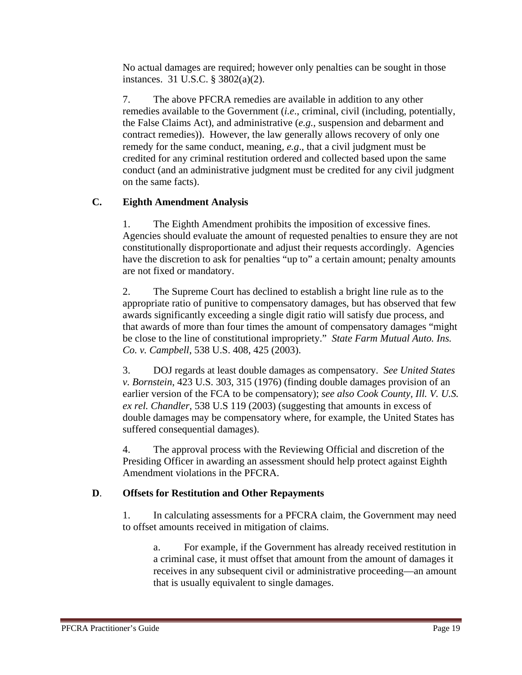No actual damages are required; however only penalties can be sought in those instances. 31 U.S.C. § 3802(a)(2).

7. The above PFCRA remedies are available in addition to any other remedies available to the Government (*i.e*., criminal, civil (including, potentially, the False Claims Act), and administrative (*e.g.,* suspension and debarment and contract remedies)). However, the law generally allows recovery of only one remedy for the same conduct, meaning*, e.g*., that a civil judgment must be credited for any criminal restitution ordered and collected based upon the same conduct (and an administrative judgment must be credited for any civil judgment on the same facts).

#### **C. Eighth Amendment Analysis**

1. The Eighth Amendment prohibits the imposition of excessive fines. Agencies should evaluate the amount of requested penalties to ensure they are not constitutionally disproportionate and adjust their requests accordingly. Agencies have the discretion to ask for penalties "up to" a certain amount; penalty amounts are not fixed or mandatory.

2. The Supreme Court has declined to establish a bright line rule as to the appropriate ratio of punitive to compensatory damages, but has observed that few awards significantly exceeding a single digit ratio will satisfy due process, and that awards of more than four times the amount of compensatory damages "might be close to the line of constitutional impropriety." *State Farm Mutual Auto. Ins. Co. v. Campbell*, 538 U.S. 408, 425 (2003).

3. DOJ regards at least double damages as compensatory. *See United States v. Bornstein*, 423 U.S. 303, 315 (1976) (finding double damages provision of an earlier version of the FCA to be compensatory); *see also Cook County, Ill. V. U.S. ex rel. Chandler,* 538 U.S 119 (2003) (suggesting that amounts in excess of double damages may be compensatory where, for example, the United States has suffered consequential damages).

4. The approval process with the Reviewing Official and discretion of the Presiding Officer in awarding an assessment should help protect against Eighth Amendment violations in the PFCRA.

#### **D**. **Offsets for Restitution and Other Repayments**

1. In calculating assessments for a PFCRA claim, the Government may need to offset amounts received in mitigation of claims.

a. For example, if the Government has already received restitution in a criminal case, it must offset that amount from the amount of damages it receives in any subsequent civil or administrative proceeding—an amount that is usually equivalent to single damages.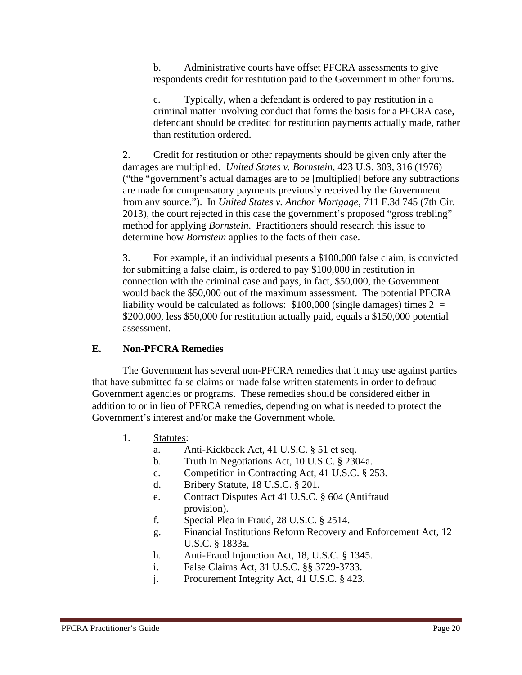b. Administrative courts have offset PFCRA assessments to give respondents credit for restitution paid to the Government in other forums.

c. Typically, when a defendant is ordered to pay restitution in a criminal matter involving conduct that forms the basis for a PFCRA case, defendant should be credited for restitution payments actually made, rather than restitution ordered.

2. Credit for restitution or other repayments should be given only after the damages are multiplied. *United States v. Bornstein*, 423 U.S. 303, 316 (1976) ("the "government's actual damages are to be [multiplied] before any subtractions are made for compensatory payments previously received by the Government from any source."). In *United States v. Anchor Mortgage*, 711 F.3d 745 (7th Cir. 2013), the court rejected in this case the government's proposed "gross trebling" method for applying *Bornstein*. Practitioners should research this issue to determine how *Bornstein* applies to the facts of their case.

3. For example, if an individual presents a \$100,000 false claim, is convicted for submitting a false claim, is ordered to pay \$100,000 in restitution in connection with the criminal case and pays, in fact, \$50,000, the Government would back the \$50,000 out of the maximum assessment. The potential PFCRA liability would be calculated as follows:  $$100,000$  (single damages) times 2 = \$200,000, less \$50,000 for restitution actually paid, equals a \$150,000 potential assessment.

#### **E. Non-PFCRA Remedies**

The Government has several non-PFCRA remedies that it may use against parties that have submitted false claims or made false written statements in order to defraud Government agencies or programs. These remedies should be considered either in addition to or in lieu of PFRCA remedies, depending on what is needed to protect the Government's interest and/or make the Government whole.

- 1. Statutes:
	- a. Anti-Kickback Act, 41 U.S.C. § 51 et seq.
	- b. Truth in Negotiations Act, 10 U.S.C. § 2304a.
	- c. Competition in Contracting Act, 41 U.S.C. § 253.
	- d. Bribery Statute, 18 U.S.C. § 201.
	- e. Contract Disputes Act 41 U.S.C. § 604 (Antifraud provision).
	- f. Special Plea in Fraud, 28 U.S.C. § 2514.
	- g. Financial Institutions Reform Recovery and Enforcement Act, 12 U.S.C. § 1833a.
	- h. Anti-Fraud Injunction Act, 18, U.S.C. § 1345.
	- i. False Claims Act, 31 U.S.C. §§ 3729-3733.
	- j. Procurement Integrity Act, 41 U.S.C. § 423.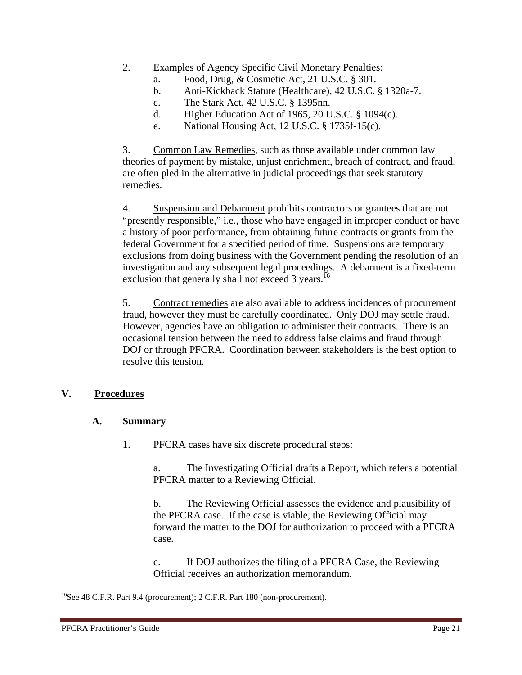- 2. Examples of Agency Specific Civil Monetary Penalties:
	- a. Food, Drug, & Cosmetic Act, 21 U.S.C. § 301.
	- b. Anti-Kickback Statute (Healthcare), 42 U.S.C. § 1320a-7.
	- c. The Stark Act, 42 U.S.C. § 1395nn.
	- d. Higher Education Act of 1965, 20 U.S.C. § 1094(c).
	- e. National Housing Act, 12 U.S.C. § 1735f-15(c).

3. Common Law Remedies, such as those available under common law theories of payment by mistake, unjust enrichment, breach of contract, and fraud, are often pled in the alternative in judicial proceedings that seek statutory remedies.

4. Suspension and Debarment prohibits contractors or grantees that are not "presently responsible," i.e., those who have engaged in improper conduct or have a history of poor performance, from obtaining future contracts or grants from the federal Government for a specified period of time. Suspensions are temporary exclusions from doing business with the Government pending the resolution of an investigation and any subsequent legal proceedings. A debarment is a fixed-term exclusion that generally shall not exceed 3 years.<sup>16</sup>

5. Contract remedies are also available to address incidences of procurement fraud, however they must be carefully coordinated. Only DOJ may settle fraud. However, agencies have an obligation to administer their contracts. There is an occasional tension between the need to address false claims and fraud through DOJ or through PFCRA. Coordination between stakeholders is the best option to resolve this tension.

#### **V. Procedures**

#### **A. Summary**

1. PFCRA cases have six discrete procedural steps:

a. The Investigating Official drafts a Report, which refers a potential PFCRA matter to a Reviewing Official.

b. The Reviewing Official assesses the evidence and plausibility of the PFCRA case. If the case is viable, the Reviewing Official may forward the matter to the DOJ for authorization to proceed with a PFCRA case.

c. If DOJ authorizes the filing of a PFCRA Case, the Reviewing Official receives an authorization memorandum.

 $16$ See 48 C.F.R. Part 9.4 (procurement); 2 C.F.R. Part 180 (non-procurement).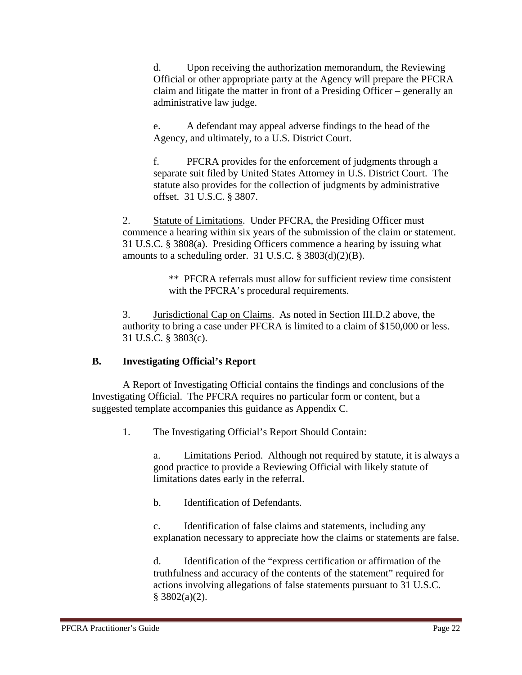d. Upon receiving the authorization memorandum, the Reviewing Official or other appropriate party at the Agency will prepare the PFCRA claim and litigate the matter in front of a Presiding Officer – generally an administrative law judge.

e. A defendant may appeal adverse findings to the head of the Agency, and ultimately, to a U.S. District Court.

f. PFCRA provides for the enforcement of judgments through a separate suit filed by United States Attorney in U.S. District Court. The statute also provides for the collection of judgments by administrative offset. 31 U.S.C. § 3807.

2. Statute of Limitations. Under PFCRA, the Presiding Officer must commence a hearing within six years of the submission of the claim or statement. 31 U.S.C. § 3808(a). Presiding Officers commence a hearing by issuing what amounts to a scheduling order. 31 U.S.C.  $\S$  3803(d)(2)(B).

> \*\* PFCRA referrals must allow for sufficient review time consistent with the PFCRA's procedural requirements.

3. Jurisdictional Cap on Claims. As noted in Section III.D.2 above, the authority to bring a case under PFCRA is limited to a claim of \$150,000 or less. 31 U.S.C. § 3803(c).

#### **B. Investigating Official's Report**

A Report of Investigating Official contains the findings and conclusions of the Investigating Official. The PFCRA requires no particular form or content, but a suggested template accompanies this guidance as Appendix C.

1. The Investigating Official's Report Should Contain:

a. Limitations Period. Although not required by statute, it is always a good practice to provide a Reviewing Official with likely statute of limitations dates early in the referral.

b. Identification of Defendants.

c. Identification of false claims and statements, including any explanation necessary to appreciate how the claims or statements are false.

d. Identification of the "express certification or affirmation of the truthfulness and accuracy of the contents of the statement" required for actions involving allegations of false statements pursuant to 31 U.S.C.  $§$  3802(a)(2).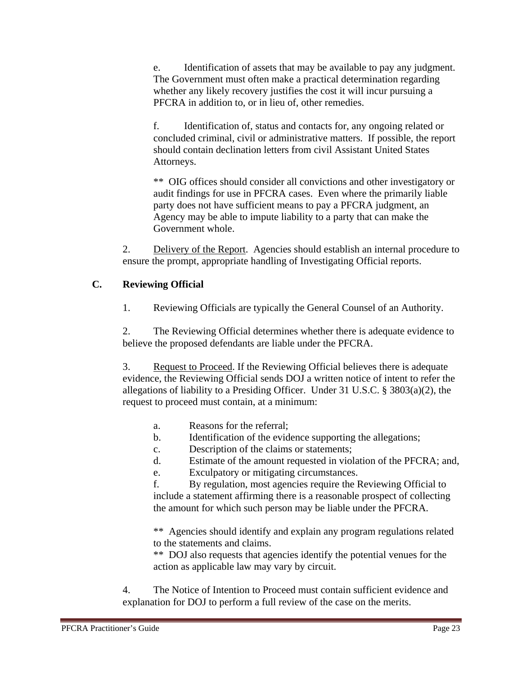e. Identification of assets that may be available to pay any judgment. The Government must often make a practical determination regarding whether any likely recovery justifies the cost it will incur pursuing a PFCRA in addition to, or in lieu of, other remedies.

f. Identification of, status and contacts for, any ongoing related or concluded criminal, civil or administrative matters. If possible, the report should contain declination letters from civil Assistant United States Attorneys.

\*\* OIG offices should consider all convictions and other investigatory or audit findings for use in PFCRA cases. Even where the primarily liable party does not have sufficient means to pay a PFCRA judgment, an Agency may be able to impute liability to a party that can make the Government whole.

2. Delivery of the Report. Agencies should establish an internal procedure to ensure the prompt, appropriate handling of Investigating Official reports.

#### **C. Reviewing Official**

1. Reviewing Officials are typically the General Counsel of an Authority.

2. The Reviewing Official determines whether there is adequate evidence to believe the proposed defendants are liable under the PFCRA.

3. Request to Proceed. If the Reviewing Official believes there is adequate evidence, the Reviewing Official sends DOJ a written notice of intent to refer the allegations of liability to a Presiding Officer. Under 31 U.S.C. § 3803(a)(2), the request to proceed must contain, at a minimum:

- a. Reasons for the referral;
- b. Identification of the evidence supporting the allegations;
- c. Description of the claims or statements;
- d. Estimate of the amount requested in violation of the PFCRA; and,
- e. Exculpatory or mitigating circumstances.

f. By regulation, most agencies require the Reviewing Official to include a statement affirming there is a reasonable prospect of collecting the amount for which such person may be liable under the PFCRA.

\*\* Agencies should identify and explain any program regulations related to the statements and claims.

\*\* DOJ also requests that agencies identify the potential venues for the action as applicable law may vary by circuit.

4. The Notice of Intention to Proceed must contain sufficient evidence and explanation for DOJ to perform a full review of the case on the merits.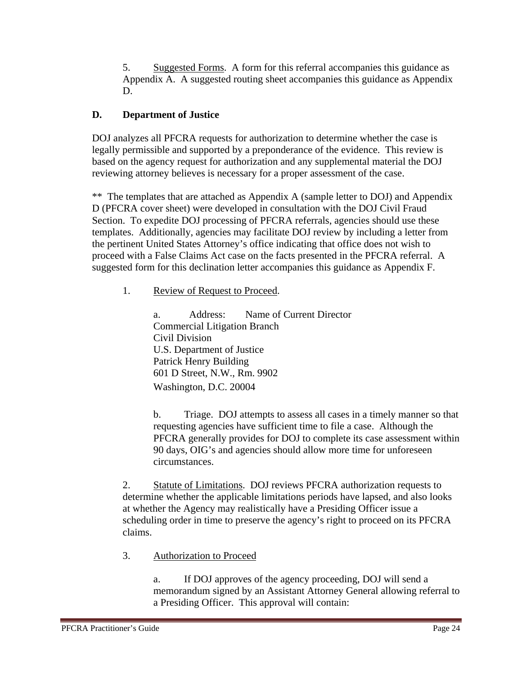5. Suggested Forms. A form for this referral accompanies this guidance as Appendix A. A suggested routing sheet accompanies this guidance as Appendix D.

#### **D. Department of Justice**

DOJ analyzes all PFCRA requests for authorization to determine whether the case is legally permissible and supported by a preponderance of the evidence. This review is based on the agency request for authorization and any supplemental material the DOJ reviewing attorney believes is necessary for a proper assessment of the case.

\*\* The templates that are attached as Appendix A (sample letter to DOJ) and Appendix D (PFCRA cover sheet) were developed in consultation with the DOJ Civil Fraud Section. To expedite DOJ processing of PFCRA referrals, agencies should use these templates. Additionally, agencies may facilitate DOJ review by including a letter from the pertinent United States Attorney's office indicating that office does not wish to proceed with a False Claims Act case on the facts presented in the PFCRA referral. A suggested form for this declination letter accompanies this guidance as Appendix F.

1. Review of Request to Proceed.

a. Address: Name of Current Director Commercial Litigation Branch Civil Division U.S. Department of Justice Patrick Henry Building 601 D Street, N.W., Rm. 9902 Washington, D.C. 20004

b. Triage. DOJ attempts to assess all cases in a timely manner so that requesting agencies have sufficient time to file a case. Although the PFCRA generally provides for DOJ to complete its case assessment within 90 days, OIG's and agencies should allow more time for unforeseen circumstances.

2. Statute of Limitations. DOJ reviews PFCRA authorization requests to determine whether the applicable limitations periods have lapsed, and also looks at whether the Agency may realistically have a Presiding Officer issue a scheduling order in time to preserve the agency's right to proceed on its PFCRA claims.

3. Authorization to Proceed

a. If DOJ approves of the agency proceeding, DOJ will send a memorandum signed by an Assistant Attorney General allowing referral to a Presiding Officer. This approval will contain: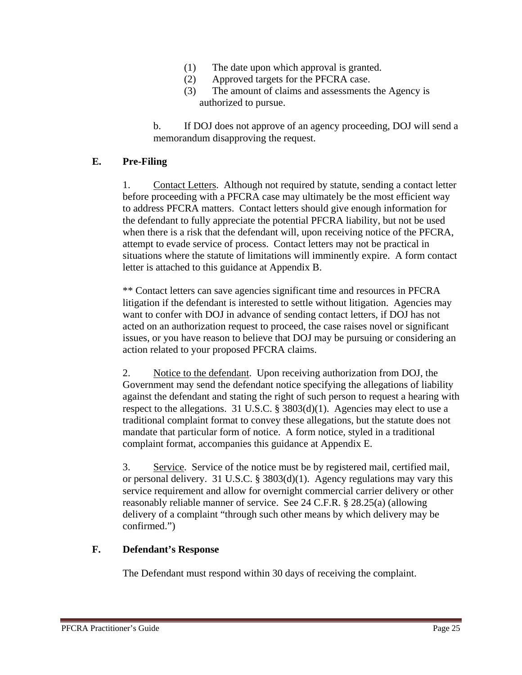- (1) The date upon which approval is granted.
- (2) Approved targets for the PFCRA case.
- (3) The amount of claims and assessments the Agency is authorized to pursue.

b. If DOJ does not approve of an agency proceeding, DOJ will send a memorandum disapproving the request.

#### **E. Pre-Filing**

1. Contact Letters. Although not required by statute, sending a contact letter before proceeding with a PFCRA case may ultimately be the most efficient way to address PFCRA matters. Contact letters should give enough information for the defendant to fully appreciate the potential PFCRA liability, but not be used when there is a risk that the defendant will, upon receiving notice of the PFCRA, attempt to evade service of process. Contact letters may not be practical in situations where the statute of limitations will imminently expire. A form contact letter is attached to this guidance at Appendix B.

\*\* Contact letters can save agencies significant time and resources in PFCRA litigation if the defendant is interested to settle without litigation. Agencies may want to confer with DOJ in advance of sending contact letters, if DOJ has not acted on an authorization request to proceed, the case raises novel or significant issues, or you have reason to believe that DOJ may be pursuing or considering an action related to your proposed PFCRA claims.

2. Notice to the defendant. Upon receiving authorization from DOJ, the Government may send the defendant notice specifying the allegations of liability against the defendant and stating the right of such person to request a hearing with respect to the allegations. 31 U.S.C.  $\S$  3803(d)(1). Agencies may elect to use a traditional complaint format to convey these allegations, but the statute does not mandate that particular form of notice. A form notice, styled in a traditional complaint format, accompanies this guidance at Appendix E.

3. Service. Service of the notice must be by registered mail, certified mail, or personal delivery. 31 U.S.C. § 3803(d)(1). Agency regulations may vary this service requirement and allow for overnight commercial carrier delivery or other reasonably reliable manner of service. See 24 C.F.R. § 28.25(a) (allowing delivery of a complaint "through such other means by which delivery may be confirmed.")

#### **F. Defendant's Response**

The Defendant must respond within 30 days of receiving the complaint.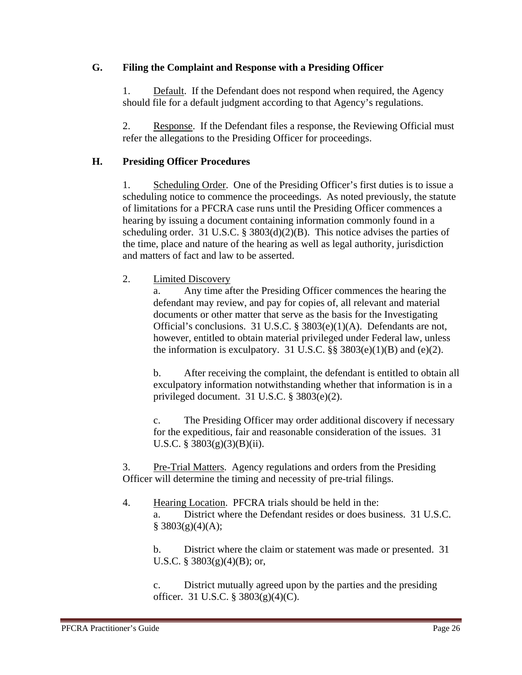#### **G. Filing the Complaint and Response with a Presiding Officer**

1. Default. If the Defendant does not respond when required, the Agency should file for a default judgment according to that Agency's regulations.

2. Response. If the Defendant files a response, the Reviewing Official must refer the allegations to the Presiding Officer for proceedings.

#### **H. Presiding Officer Procedures**

1. Scheduling Order. One of the Presiding Officer's first duties is to issue a scheduling notice to commence the proceedings. As noted previously, the statute of limitations for a PFCRA case runs until the Presiding Officer commences a hearing by issuing a document containing information commonly found in a scheduling order. 31 U.S.C. § 3803(d)(2)(B). This notice advises the parties of the time, place and nature of the hearing as well as legal authority, jurisdiction and matters of fact and law to be asserted.

2. Limited Discovery

a. Any time after the Presiding Officer commences the hearing the defendant may review, and pay for copies of, all relevant and material documents or other matter that serve as the basis for the Investigating Official's conclusions. 31 U.S.C. § 3803(e)(1)(A). Defendants are not, however, entitled to obtain material privileged under Federal law, unless the information is exculpatory. 31 U.S.C.  $\S$ § 3803(e)(1)(B) and (e)(2).

b. After receiving the complaint, the defendant is entitled to obtain all exculpatory information notwithstanding whether that information is in a privileged document. 31 U.S.C. § 3803(e)(2).

c. The Presiding Officer may order additional discovery if necessary for the expeditious, fair and reasonable consideration of the issues. 31 U.S.C. § 3803 $(g)(3)(B)(ii)$ .

3. Pre-Trial Matters. Agency regulations and orders from the Presiding Officer will determine the timing and necessity of pre-trial filings.

4. Hearing Location. PFCRA trials should be held in the: a. District where the Defendant resides or does business. 31 U.S.C.  $§$  3803(g)(4)(A);

b. District where the claim or statement was made or presented. 31 U.S.C. § 3803 $(g)(4)(B)$ ; or,

c. District mutually agreed upon by the parties and the presiding officer. 31 U.S.C. § 3803(g)(4)(C).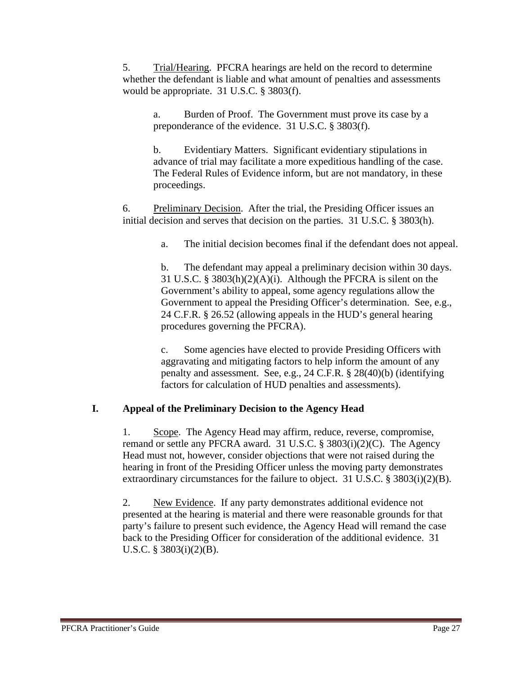5. Trial/Hearing. PFCRA hearings are held on the record to determine whether the defendant is liable and what amount of penalties and assessments would be appropriate. 31 U.S.C. § 3803(f).

a. Burden of Proof. The Government must prove its case by a preponderance of the evidence. 31 U.S.C. § 3803(f).

b. Evidentiary Matters. Significant evidentiary stipulations in advance of trial may facilitate a more expeditious handling of the case. The Federal Rules of Evidence inform, but are not mandatory, in these proceedings.

6. Preliminary Decision. After the trial, the Presiding Officer issues an initial decision and serves that decision on the parties. 31 U.S.C. § 3803(h).

a. The initial decision becomes final if the defendant does not appeal.

b. The defendant may appeal a preliminary decision within 30 days. 31 U.S.C. § 3803(h)(2)(A)(i). Although the PFCRA is silent on the Government's ability to appeal, some agency regulations allow the Government to appeal the Presiding Officer's determination. See, e.g., 24 C.F.R. § 26.52 (allowing appeals in the HUD's general hearing procedures governing the PFCRA).

c. Some agencies have elected to provide Presiding Officers with aggravating and mitigating factors to help inform the amount of any penalty and assessment. See, e.g., 24 C.F.R. § 28(40)(b) (identifying factors for calculation of HUD penalties and assessments).

#### **I. Appeal of the Preliminary Decision to the Agency Head**

1. Scope. The Agency Head may affirm, reduce, reverse, compromise, remand or settle any PFCRA award. 31 U.S.C. § 3803(i)(2)(C). The Agency Head must not, however, consider objections that were not raised during the hearing in front of the Presiding Officer unless the moving party demonstrates extraordinary circumstances for the failure to object. 31 U.S.C. § 3803(i)(2)(B).

2. New Evidence. If any party demonstrates additional evidence not presented at the hearing is material and there were reasonable grounds for that party's failure to present such evidence, the Agency Head will remand the case back to the Presiding Officer for consideration of the additional evidence. 31 U.S.C. § 3803(i)(2)(B).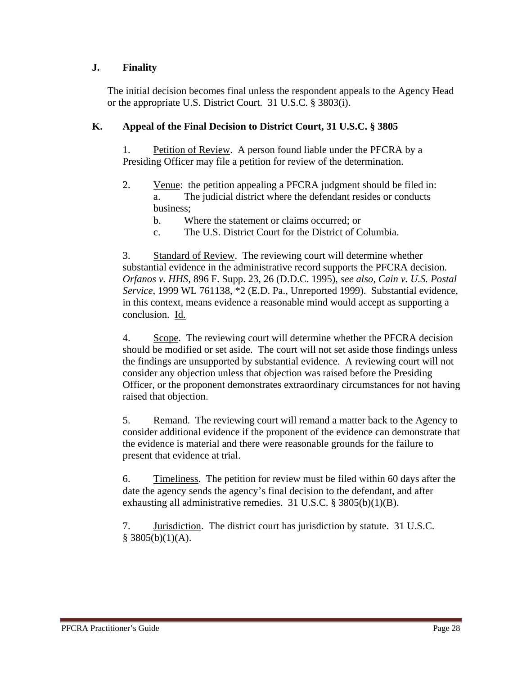#### **J. Finality**

The initial decision becomes final unless the respondent appeals to the Agency Head or the appropriate U.S. District Court. 31 U.S.C. § 3803(i).

#### **K. Appeal of the Final Decision to District Court, 31 U.S.C. § 3805**

1. Petition of Review. A person found liable under the PFCRA by a Presiding Officer may file a petition for review of the determination.

- 2. Venue: the petition appealing a PFCRA judgment should be filed in: a. The judicial district where the defendant resides or conducts business;
	- b. Where the statement or claims occurred; or
	- c. The U.S. District Court for the District of Columbia.

3. Standard of Review. The reviewing court will determine whether substantial evidence in the administrative record supports the PFCRA decision. *Orfanos v. HHS,* 896 F. Supp. 23, 26 (D.D.C. 1995), *see also, Cain v. U.S. Postal Service*, 1999 WL 761138, \*2 (E.D. Pa., Unreported 1999). Substantial evidence, in this context, means evidence a reasonable mind would accept as supporting a conclusion. Id.

4. Scope. The reviewing court will determine whether the PFCRA decision should be modified or set aside. The court will not set aside those findings unless the findings are unsupported by substantial evidence. A reviewing court will not consider any objection unless that objection was raised before the Presiding Officer, or the proponent demonstrates extraordinary circumstances for not having raised that objection.

5. Remand. The reviewing court will remand a matter back to the Agency to consider additional evidence if the proponent of the evidence can demonstrate that the evidence is material and there were reasonable grounds for the failure to present that evidence at trial.

6. Timeliness. The petition for review must be filed within 60 days after the date the agency sends the agency's final decision to the defendant, and after exhausting all administrative remedies. 31 U.S.C. § 3805(b)(1)(B).

7. Jurisdiction. The district court has jurisdiction by statute. 31 U.S.C.  $§ 3805(b)(1)(A).$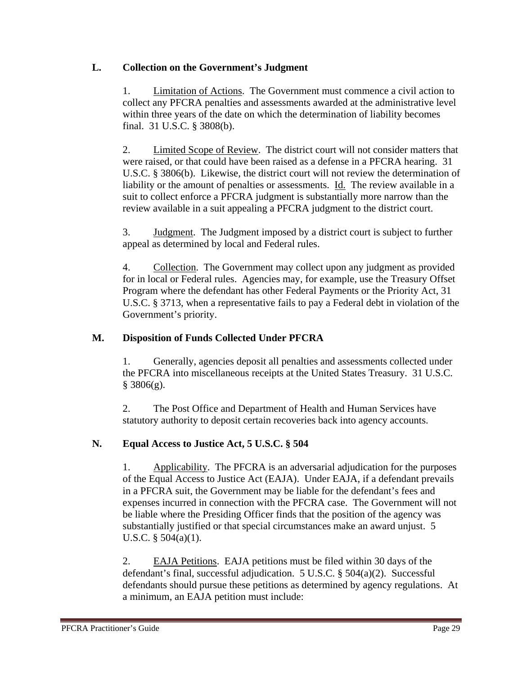#### **L. Collection on the Government's Judgment**

1. Limitation of Actions. The Government must commence a civil action to collect any PFCRA penalties and assessments awarded at the administrative level within three years of the date on which the determination of liability becomes final. 31 U.S.C. § 3808(b).

2. Limited Scope of Review. The district court will not consider matters that were raised, or that could have been raised as a defense in a PFCRA hearing. 31 U.S.C. § 3806(b). Likewise, the district court will not review the determination of liability or the amount of penalties or assessments. Id. The review available in a suit to collect enforce a PFCRA judgment is substantially more narrow than the review available in a suit appealing a PFCRA judgment to the district court.

3. Judgment. The Judgment imposed by a district court is subject to further appeal as determined by local and Federal rules.

4. Collection. The Government may collect upon any judgment as provided for in local or Federal rules. Agencies may, for example, use the Treasury Offset Program where the defendant has other Federal Payments or the Priority Act, 31 U.S.C. § 3713, when a representative fails to pay a Federal debt in violation of the Government's priority.

#### **M. Disposition of Funds Collected Under PFCRA**

1. Generally, agencies deposit all penalties and assessments collected under the PFCRA into miscellaneous receipts at the United States Treasury. 31 U.S.C.  $§ 3806(g).$ 

2. The Post Office and Department of Health and Human Services have statutory authority to deposit certain recoveries back into agency accounts.

#### **N. Equal Access to Justice Act, 5 U.S.C. § 504**

1. Applicability. The PFCRA is an adversarial adjudication for the purposes of the Equal Access to Justice Act (EAJA). Under EAJA, if a defendant prevails in a PFCRA suit, the Government may be liable for the defendant's fees and expenses incurred in connection with the PFCRA case. The Government will not be liable where the Presiding Officer finds that the position of the agency was substantially justified or that special circumstances make an award unjust. 5 U.S.C. § 504(a)(1).

2. EAJA Petitions. EAJA petitions must be filed within 30 days of the defendant's final, successful adjudication. 5 U.S.C. § 504(a)(2). Successful defendants should pursue these petitions as determined by agency regulations. At a minimum, an EAJA petition must include: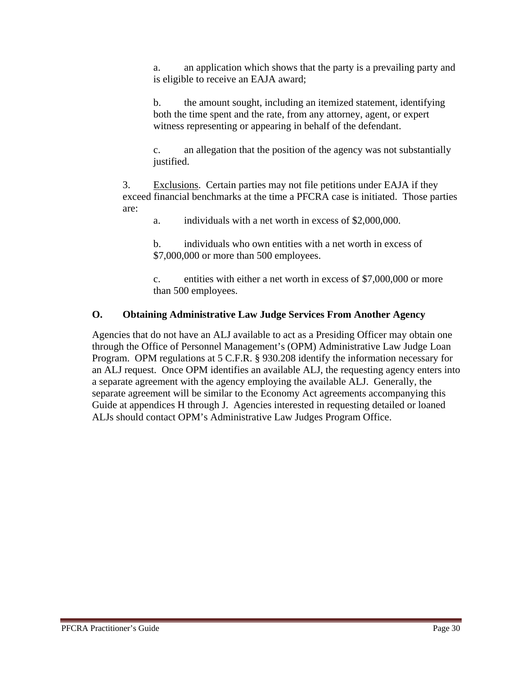a. an application which shows that the party is a prevailing party and is eligible to receive an EAJA award;

b. the amount sought, including an itemized statement, identifying both the time spent and the rate, from any attorney, agent, or expert witness representing or appearing in behalf of the defendant.

c. an allegation that the position of the agency was not substantially justified.

3. Exclusions. Certain parties may not file petitions under EAJA if they exceed financial benchmarks at the time a PFCRA case is initiated. Those parties are:

a. individuals with a net worth in excess of \$2,000,000.

b. individuals who own entities with a net worth in excess of \$7,000,000 or more than 500 employees.

c. entities with either a net worth in excess of \$7,000,000 or more than 500 employees.

#### **O. Obtaining Administrative Law Judge Services From Another Agency**

Agencies that do not have an ALJ available to act as a Presiding Officer may obtain one through the Office of Personnel Management's (OPM) Administrative Law Judge Loan Program. OPM regulations at 5 C.F.R. § 930.208 identify the information necessary for an ALJ request. Once OPM identifies an available ALJ, the requesting agency enters into a separate agreement with the agency employing the available ALJ. Generally, the separate agreement will be similar to the Economy Act agreements accompanying this Guide at appendices H through J. Agencies interested in requesting detailed or loaned ALJs should contact OPM's Administrative Law Judges Program Office.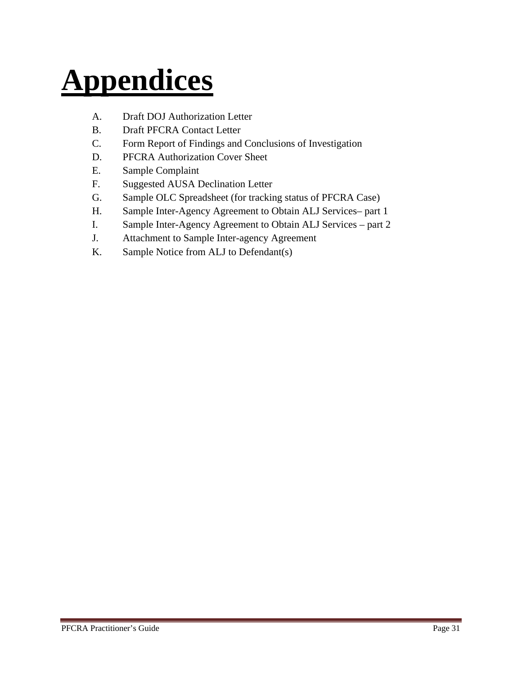# **Appendices**

- A. Draft DOJ Authorization Letter
- B. Draft PFCRA Contact Letter
- C. Form Report of Findings and Conclusions of Investigation
- D. PFCRA Authorization Cover Sheet
- E. Sample Complaint
- F. Suggested AUSA Declination Letter
- G. Sample OLC Spreadsheet (for tracking status of PFCRA Case)
- H. Sample Inter-Agency Agreement to Obtain ALJ Services– part 1
- I. Sample Inter-Agency Agreement to Obtain ALJ Services part 2
- J. Attachment to Sample Inter-agency Agreement
- K. Sample Notice from ALJ to Defendant(s)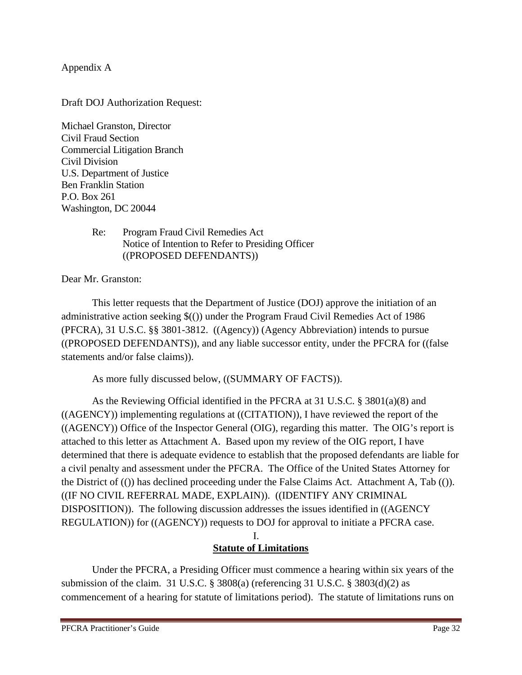Appendix A

Draft DOJ Authorization Request:

Michael Granston, Director Civil Fraud Section Commercial Litigation Branch Civil Division U.S. Department of Justice Ben Franklin Station P.O. Box 261 Washington, DC 20044

#### Re: Program Fraud Civil Remedies Act Notice of Intention to Refer to Presiding Officer ((PROPOSED DEFENDANTS))

Dear Mr. Granston:

 This letter requests that the Department of Justice (DOJ) approve the initiation of an administrative action seeking \$(()) under the Program Fraud Civil Remedies Act of 1986 (PFCRA), 31 U.S.C. §§ 3801-3812. ((Agency)) (Agency Abbreviation) intends to pursue ((PROPOSED DEFENDANTS)), and any liable successor entity, under the PFCRA for ((false statements and/or false claims)).

As more fully discussed below, ((SUMMARY OF FACTS)).

 As the Reviewing Official identified in the PFCRA at 31 U.S.C. § 3801(a)(8) and ((AGENCY)) implementing regulations at ((CITATION)), I have reviewed the report of the ((AGENCY)) Office of the Inspector General (OIG), regarding this matter. The OIG's report is attached to this letter as Attachment A. Based upon my review of the OIG report, I have determined that there is adequate evidence to establish that the proposed defendants are liable for a civil penalty and assessment under the PFCRA. The Office of the United States Attorney for the District of (()) has declined proceeding under the False Claims Act. Attachment A, Tab (()). ((IF NO CIVIL REFERRAL MADE, EXPLAIN)). ((IDENTIFY ANY CRIMINAL DISPOSITION)). The following discussion addresses the issues identified in ((AGENCY REGULATION)) for ((AGENCY)) requests to DOJ for approval to initiate a PFCRA case.

#### I. **Statute of Limitations**

Under the PFCRA, a Presiding Officer must commence a hearing within six years of the submission of the claim. 31 U.S.C. § 3808(a) (referencing 31 U.S.C. § 3803(d)(2) as commencement of a hearing for statute of limitations period). The statute of limitations runs on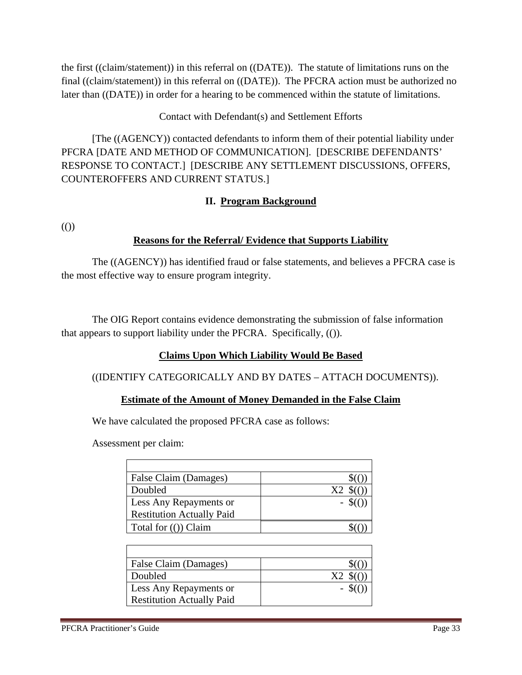the first ((claim/statement)) in this referral on ((DATE)). The statute of limitations runs on the final ((claim/statement)) in this referral on ((DATE)). The PFCRA action must be authorized no later than ((DATE)) in order for a hearing to be commenced within the statute of limitations.

#### Contact with Defendant(s) and Settlement Efforts

 [The ((AGENCY)) contacted defendants to inform them of their potential liability under PFCRA [DATE AND METHOD OF COMMUNICATION]. [DESCRIBE DEFENDANTS' RESPONSE TO CONTACT.] [DESCRIBE ANY SETTLEMENT DISCUSSIONS, OFFERS, COUNTEROFFERS AND CURRENT STATUS.]

#### **II. Program Background**

(())

#### **Reasons for the Referral/ Evidence that Supports Liability**

 The ((AGENCY)) has identified fraud or false statements, and believes a PFCRA case is the most effective way to ensure program integrity.

 The OIG Report contains evidence demonstrating the submission of false information that appears to support liability under the PFCRA. Specifically, (()).

#### **Claims Upon Which Liability Would Be Based**

#### ((IDENTIFY CATEGORICALLY AND BY DATES – ATTACH DOCUMENTS)).

#### **Estimate of the Amount of Money Demanded in the False Claim**

We have calculated the proposed PFCRA case as follows:

Assessment per claim:

| False Claim (Damages)            |    |
|----------------------------------|----|
| Doubled                          | X2 |
| Less Any Repayments or           |    |
| <b>Restitution Actually Paid</b> |    |
| Total for $($ ) Claim            |    |

| False Claim (Damages)            |  |
|----------------------------------|--|
| Doubled                          |  |
| Less Any Repayments or           |  |
| <b>Restitution Actually Paid</b> |  |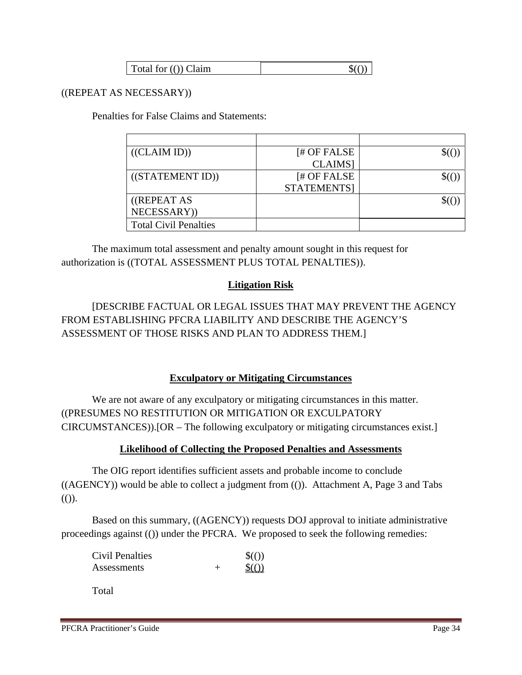| Total for (()) Claim |  |
|----------------------|--|
|                      |  |

#### ((REPEAT AS NECESSARY))

Penalties for False Claims and Statements:

| ((CLAIM ID))                 | $H$ OF FALSE  |  |
|------------------------------|---------------|--|
|                              | <b>CLAIMS</b> |  |
| ((STATEMENT ID))             | [# OF FALSE   |  |
|                              | STATEMENTS]   |  |
| ((REPEAT AS                  |               |  |
| NECESSARY))                  |               |  |
| <b>Total Civil Penalties</b> |               |  |

 The maximum total assessment and penalty amount sought in this request for authorization is ((TOTAL ASSESSMENT PLUS TOTAL PENALTIES)).

#### **Litigation Risk**

 [DESCRIBE FACTUAL OR LEGAL ISSUES THAT MAY PREVENT THE AGENCY FROM ESTABLISHING PFCRA LIABILITY AND DESCRIBE THE AGENCY'S ASSESSMENT OF THOSE RISKS AND PLAN TO ADDRESS THEM.]

#### **Exculpatory or Mitigating Circumstances**

 We are not aware of any exculpatory or mitigating circumstances in this matter. ((PRESUMES NO RESTITUTION OR MITIGATION OR EXCULPATORY CIRCUMSTANCES)).[OR – The following exculpatory or mitigating circumstances exist.]

#### **Likelihood of Collecting the Proposed Penalties and Assessments**

 The OIG report identifies sufficient assets and probable income to conclude  $((AGENCY))$  would be able to collect a judgment from  $(())$ . Attachment A, Page 3 and Tabs  $($ ()).

Based on this summary, ((AGENCY)) requests DOJ approval to initiate administrative proceedings against (()) under the PFCRA. We proposed to seek the following remedies:

| Civil Penalties | $\$($ ())         |
|-----------------|-------------------|
| Assessments     | $\mathcal{S}(())$ |

Total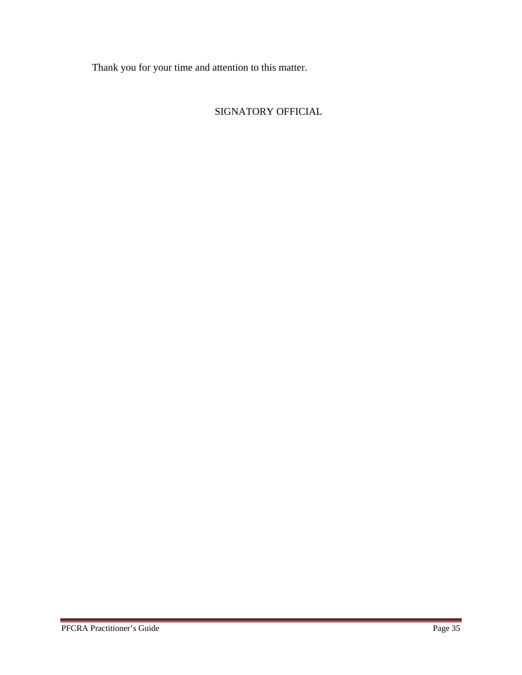Thank you for your time and attention to this matter.

#### SIGNATORY OFFICIAL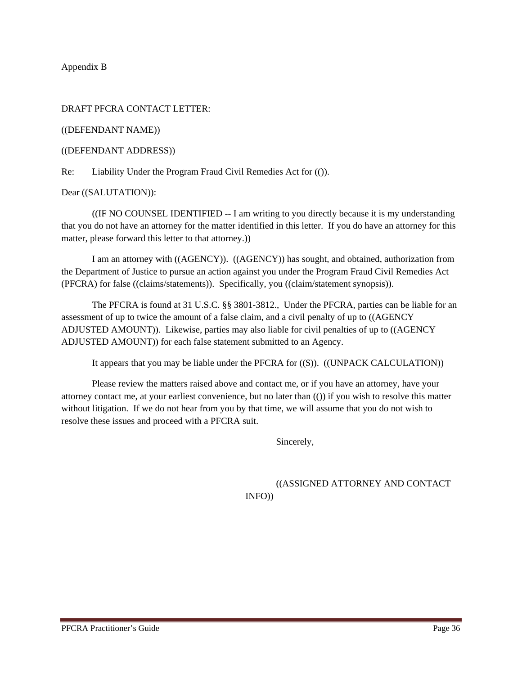Appendix B

#### DRAFT PFCRA CONTACT LETTER:

((DEFENDANT NAME))

((DEFENDANT ADDRESS))

Re: Liability Under the Program Fraud Civil Remedies Act for (()).

Dear ((SALUTATION)):

 ((IF NO COUNSEL IDENTIFIED -- I am writing to you directly because it is my understanding that you do not have an attorney for the matter identified in this letter. If you do have an attorney for this matter, please forward this letter to that attorney.))

I am an attorney with ((AGENCY)). ((AGENCY)) has sought, and obtained, authorization from the Department of Justice to pursue an action against you under the Program Fraud Civil Remedies Act (PFCRA) for false ((claims/statements)). Specifically, you ((claim/statement synopsis)).

 The PFCRA is found at 31 U.S.C. §§ 3801-3812., Under the PFCRA, parties can be liable for an assessment of up to twice the amount of a false claim, and a civil penalty of up to ((AGENCY ADJUSTED AMOUNT)). Likewise, parties may also liable for civil penalties of up to ((AGENCY ADJUSTED AMOUNT)) for each false statement submitted to an Agency.

It appears that you may be liable under the PFCRA for ((\$)). ((UNPACK CALCULATION))

 Please review the matters raised above and contact me, or if you have an attorney, have your attorney contact me, at your earliest convenience, but no later than (()) if you wish to resolve this matter without litigation. If we do not hear from you by that time, we will assume that you do not wish to resolve these issues and proceed with a PFCRA suit.

Sincerely,

((ASSIGNED ATTORNEY AND CONTACT INFO))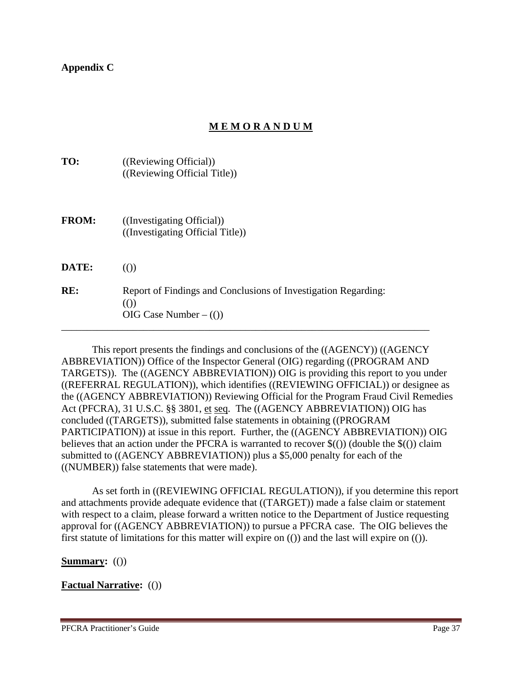**Appendix C** 

#### **M E M O R A N D U M**

| TO:          | ((Reviewing Official))<br>((Reviewing Official Title))                                                     |
|--------------|------------------------------------------------------------------------------------------------------------|
| <b>FROM:</b> | ((Investigating Official))<br>((Investigating Official Title))                                             |
| DATE:        | $\left($ ())                                                                                               |
| RE:          | Report of Findings and Conclusions of Investigation Regarding:<br>$\left($ ())<br>OIG Case Number $-$ (()) |

 This report presents the findings and conclusions of the ((AGENCY)) ((AGENCY ABBREVIATION)) Office of the Inspector General (OIG) regarding ((PROGRAM AND TARGETS)). The ((AGENCY ABBREVIATION)) OIG is providing this report to you under ((REFERRAL REGULATION)), which identifies ((REVIEWING OFFICIAL)) or designee as the ((AGENCY ABBREVIATION)) Reviewing Official for the Program Fraud Civil Remedies Act (PFCRA), 31 U.S.C. §§ 3801, et seq. The ((AGENCY ABBREVIATION)) OIG has concluded ((TARGETS)), submitted false statements in obtaining ((PROGRAM PARTICIPATION)) at issue in this report. Further, the ((AGENCY ABBREVIATION)) OIG believes that an action under the PFCRA is warranted to recover  $\$(())$  (double the  $\$(())$  claim submitted to ((AGENCY ABBREVIATION)) plus a \$5,000 penalty for each of the ((NUMBER)) false statements that were made).

As set forth in ((REVIEWING OFFICIAL REGULATION)), if you determine this report and attachments provide adequate evidence that ((TARGET)) made a false claim or statement with respect to a claim, please forward a written notice to the Department of Justice requesting approval for ((AGENCY ABBREVIATION)) to pursue a PFCRA case. The OIG believes the first statute of limitations for this matter will expire on (()) and the last will expire on (()).

**Summary:** (())

#### **Factual Narrative:** (())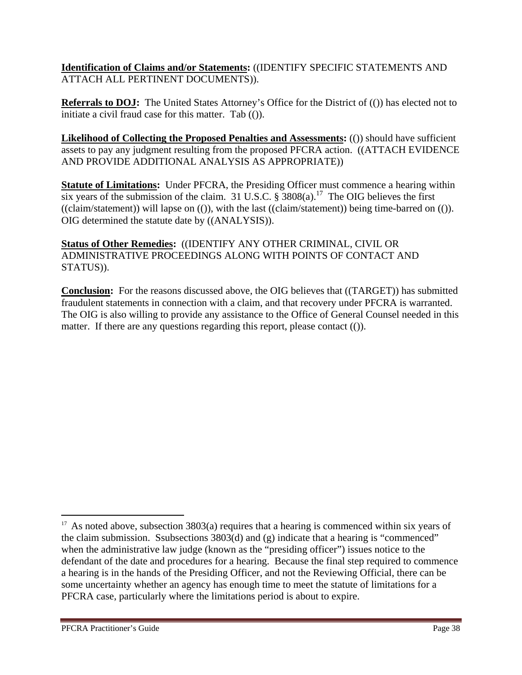**Identification of Claims and/or Statements:** ((IDENTIFY SPECIFIC STATEMENTS AND ATTACH ALL PERTINENT DOCUMENTS)).

**Referrals to DOJ:** The United States Attorney's Office for the District of (()) has elected not to initiate a civil fraud case for this matter. Tab (()).

**Likelihood of Collecting the Proposed Penalties and Assessments:** (()) should have sufficient assets to pay any judgment resulting from the proposed PFCRA action. ((ATTACH EVIDENCE AND PROVIDE ADDITIONAL ANALYSIS AS APPROPRIATE))

**Statute of Limitations:** Under PFCRA, the Presiding Officer must commence a hearing within six years of the submission of the claim. 31 U.S.C.  $\frac{8}{9}$  3808(a).<sup>17</sup> The OIG believes the first ((claim/statement)) will lapse on (()), with the last ((claim/statement)) being time-barred on (()). OIG determined the statute date by ((ANALYSIS)).

**Status of Other Remedies:** ((IDENTIFY ANY OTHER CRIMINAL, CIVIL OR ADMINISTRATIVE PROCEEDINGS ALONG WITH POINTS OF CONTACT AND STATUS)).

**Conclusion:** For the reasons discussed above, the OIG believes that ((TARGET)) has submitted fraudulent statements in connection with a claim, and that recovery under PFCRA is warranted. The OIG is also willing to provide any assistance to the Office of General Counsel needed in this matter. If there are any questions regarding this report, please contact (()).

<sup>&</sup>lt;sup>17</sup> As noted above, subsection 3803(a) requires that a hearing is commenced within six years of the claim submission. Ssubsections 3803(d) and (g) indicate that a hearing is "commenced" when the administrative law judge (known as the "presiding officer") issues notice to the defendant of the date and procedures for a hearing. Because the final step required to commence a hearing is in the hands of the Presiding Officer, and not the Reviewing Official, there can be some uncertainty whether an agency has enough time to meet the statute of limitations for a PFCRA case, particularly where the limitations period is about to expire.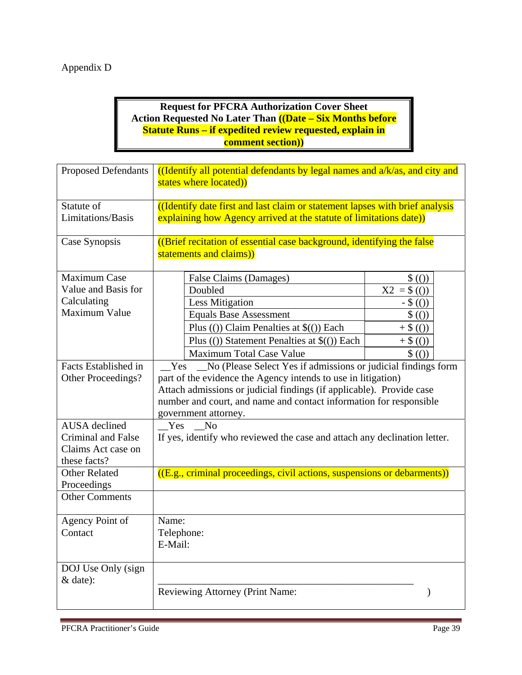#### Appendix D

#### **Request for PFCRA Authorization Cover Sheet Action Requested No Later Than ((Date – Six Months before Statute Runs – if expedited review requested, explain in comment section))**

| <b>Proposed Defendants</b> | ((Identify all potential defendants by legal names and $a/k/as$ , and city and<br>states where located) |  |  |  |  |  |
|----------------------------|---------------------------------------------------------------------------------------------------------|--|--|--|--|--|
| Statute of                 | ((Identify date first and last claim or statement lapses with brief analysis                            |  |  |  |  |  |
| Limitations/Basis          | explaining how Agency arrived at the statute of limitations date))                                      |  |  |  |  |  |
| Case Synopsis              | ((Brief recitation of essential case background, identifying the false<br>statements and claims))       |  |  |  |  |  |
| <b>Maximum Case</b>        | False Claims (Damages)<br>$\$($ ()                                                                      |  |  |  |  |  |
| Value and Basis for        | Doubled<br>$X2 = $ ( ))$                                                                                |  |  |  |  |  |
| Calculating                | <b>Less Mitigation</b><br>$-$ \$ (())                                                                   |  |  |  |  |  |
| Maximum Value              | <b>Equals Base Assessment</b><br>$\$($ ())                                                              |  |  |  |  |  |
|                            | Plus (()) Claim Penalties at $\$($ ()) Each<br>$+ $ (() )$                                              |  |  |  |  |  |
|                            | Plus (()) Statement Penalties at $\$($ ()) Each<br>$+$ \$ (())                                          |  |  |  |  |  |
|                            | <b>Maximum Total Case Value</b><br>\$(())                                                               |  |  |  |  |  |
| Facts Established in       | No (Please Select Yes if admissions or judicial findings form<br>Yes                                    |  |  |  |  |  |
| Other Proceedings?         | part of the evidence the Agency intends to use in litigation)                                           |  |  |  |  |  |
|                            | Attach admissions or judicial findings (if applicable). Provide case                                    |  |  |  |  |  |
|                            | number and court, and name and contact information for responsible                                      |  |  |  |  |  |
| <b>AUSA</b> declined       | government attorney.<br>Yes<br>N <sub>0</sub>                                                           |  |  |  |  |  |
| Criminal and False         | If yes, identify who reviewed the case and attach any declination letter.                               |  |  |  |  |  |
| Claims Act case on         |                                                                                                         |  |  |  |  |  |
| these facts?               |                                                                                                         |  |  |  |  |  |
| <b>Other Related</b>       | $((E.g., criminal proceedings, civil actions, suspensions or debarments))$                              |  |  |  |  |  |
| Proceedings                |                                                                                                         |  |  |  |  |  |
| <b>Other Comments</b>      |                                                                                                         |  |  |  |  |  |
| Agency Point of            | Name:                                                                                                   |  |  |  |  |  |
| Contact                    | Telephone:                                                                                              |  |  |  |  |  |
|                            | E-Mail:                                                                                                 |  |  |  |  |  |
| DOJ Use Only (sign         |                                                                                                         |  |  |  |  |  |
| & date):                   |                                                                                                         |  |  |  |  |  |
|                            | Reviewing Attorney (Print Name:                                                                         |  |  |  |  |  |
|                            |                                                                                                         |  |  |  |  |  |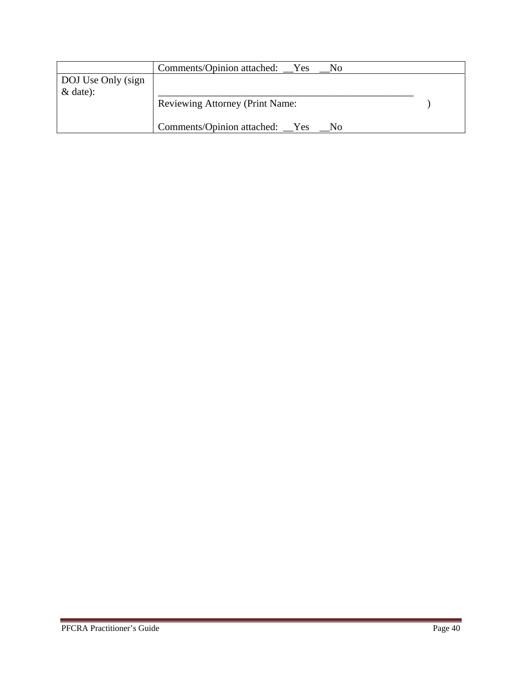|                    | Comments/Opinion attached: __Yes<br>No. |  |
|--------------------|-----------------------------------------|--|
| DOJ Use Only (sign |                                         |  |
| $&$ date):         |                                         |  |
|                    | <b>Reviewing Attorney (Print Name:</b>  |  |
|                    |                                         |  |
|                    | Comments/Opinion attached: Yes<br>- No  |  |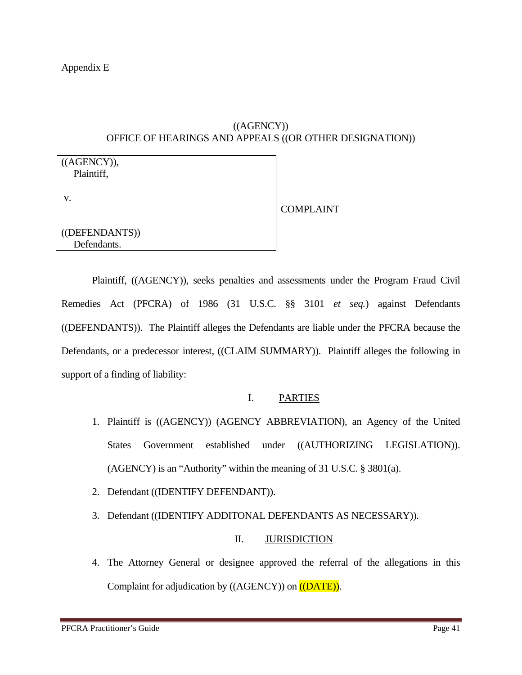#### ((AGENCY)) OFFICE OF HEARINGS AND APPEALS ((OR OTHER DESIGNATION))

((AGENCY)), Plaintiff,

v.

COMPLAINT

((DEFENDANTS)) Defendants.

 Plaintiff, ((AGENCY)), seeks penalties and assessments under the Program Fraud Civil Remedies Act (PFCRA) of 1986 (31 U.S.C. §§ 3101 *et seq.*) against Defendants ((DEFENDANTS)). The Plaintiff alleges the Defendants are liable under the PFCRA because the Defendants, or a predecessor interest, ((CLAIM SUMMARY)). Plaintiff alleges the following in support of a finding of liability:

#### I. PARTIES

- 1. Plaintiff is ((AGENCY)) (AGENCY ABBREVIATION), an Agency of the United States Government established under ((AUTHORIZING LEGISLATION)). (AGENCY) is an "Authority" within the meaning of 31 U.S.C. § 3801(a).
- 2. Defendant ((IDENTIFY DEFENDANT)).
- 3. Defendant ((IDENTIFY ADDITONAL DEFENDANTS AS NECESSARY)).

#### II. JURISDICTION

4. The Attorney General or designee approved the referral of the allegations in this Complaint for adjudication by ((AGENCY)) on ((DATE)).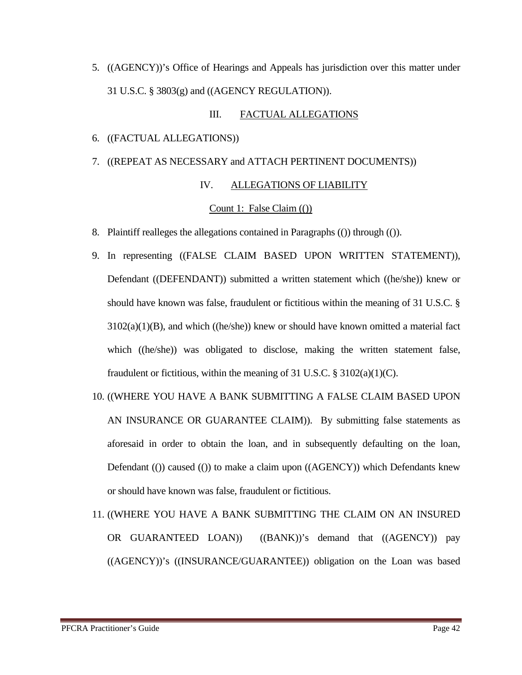5. ((AGENCY))'s Office of Hearings and Appeals has jurisdiction over this matter under 31 U.S.C. § 3803(g) and ((AGENCY REGULATION)).

#### III. FACTUAL ALLEGATIONS

- 6. ((FACTUAL ALLEGATIONS))
- 7. ((REPEAT AS NECESSARY and ATTACH PERTINENT DOCUMENTS))

#### IV. ALLEGATIONS OF LIABILITY

#### Count 1: False Claim (())

- 8. Plaintiff realleges the allegations contained in Paragraphs (()) through (()).
- 9. In representing ((FALSE CLAIM BASED UPON WRITTEN STATEMENT)), Defendant ((DEFENDANT)) submitted a written statement which ((he/she)) knew or should have known was false, fraudulent or fictitious within the meaning of 31 U.S.C. §  $3102(a)(1)(B)$ , and which ((he/she)) knew or should have known omitted a material fact which ((he/she)) was obligated to disclose, making the written statement false, fraudulent or fictitious, within the meaning of 31 U.S.C.  $\S 3102(a)(1)(C)$ .
- 10. ((WHERE YOU HAVE A BANK SUBMITTING A FALSE CLAIM BASED UPON AN INSURANCE OR GUARANTEE CLAIM)). By submitting false statements as aforesaid in order to obtain the loan, and in subsequently defaulting on the loan, Defendant (()) caused (()) to make a claim upon ((AGENCY)) which Defendants knew or should have known was false, fraudulent or fictitious.
- 11. ((WHERE YOU HAVE A BANK SUBMITTING THE CLAIM ON AN INSURED OR GUARANTEED LOAN)) ((BANK))'s demand that ((AGENCY)) pay ((AGENCY))'s ((INSURANCE/GUARANTEE)) obligation on the Loan was based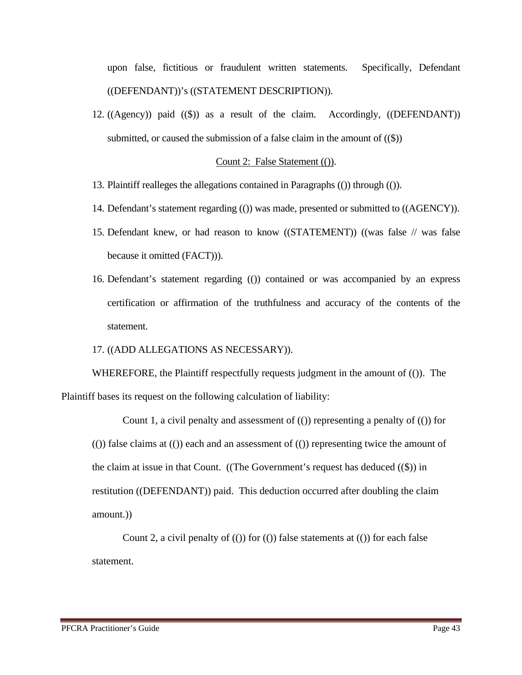upon false, fictitious or fraudulent written statements. Specifically, Defendant ((DEFENDANT))'s ((STATEMENT DESCRIPTION)).

12. ((Agency)) paid ((\$)) as a result of the claim. Accordingly, ((DEFENDANT)) submitted, or caused the submission of a false claim in the amount of  $(\mathcal{S})$ )

#### Count 2: False Statement (()).

- 13. Plaintiff realleges the allegations contained in Paragraphs (()) through (()).
- 14. Defendant's statement regarding (()) was made, presented or submitted to ((AGENCY)).
- 15. Defendant knew, or had reason to know ((STATEMENT)) ((was false // was false because it omitted (FACT))).
- 16. Defendant's statement regarding (()) contained or was accompanied by an express certification or affirmation of the truthfulness and accuracy of the contents of the statement.

#### 17. ((ADD ALLEGATIONS AS NECESSARY)).

WHEREFORE, the Plaintiff respectfully requests judgment in the amount of (()). The Plaintiff bases its request on the following calculation of liability:

Count 1, a civil penalty and assessment of  $($ ) representing a penalty of  $($   $)$  for  $($ ()) false claims at  $($ ()) each and an assessment of  $($ ()) representing twice the amount of the claim at issue in that Count. ((The Government's request has deduced ((\$)) in restitution ((DEFENDANT)) paid. This deduction occurred after doubling the claim amount.))

Count 2, a civil penalty of  $(0)$  for  $(0)$  false statements at  $(0)$  for each false statement.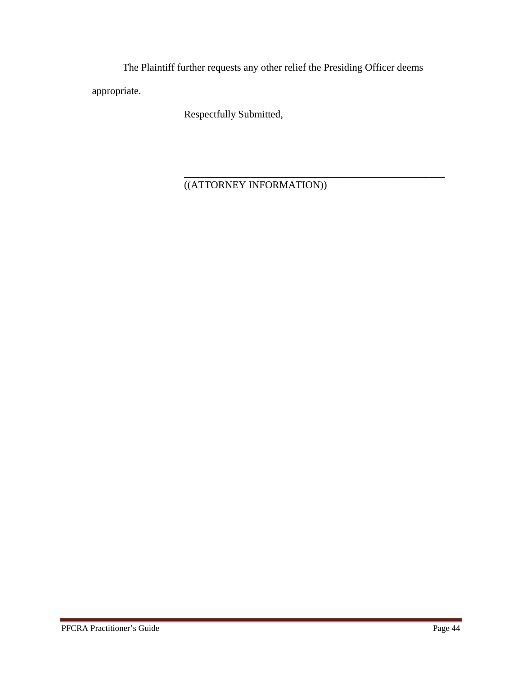The Plaintiff further requests any other relief the Presiding Officer deems appropriate.

Respectfully Submitted,

 $\frac{1}{2}$  ,  $\frac{1}{2}$  ,  $\frac{1}{2}$  ,  $\frac{1}{2}$  ,  $\frac{1}{2}$  ,  $\frac{1}{2}$  ,  $\frac{1}{2}$  ,  $\frac{1}{2}$  ,  $\frac{1}{2}$  ,  $\frac{1}{2}$  ,  $\frac{1}{2}$  ,  $\frac{1}{2}$  ,  $\frac{1}{2}$  ,  $\frac{1}{2}$  ,  $\frac{1}{2}$  ,  $\frac{1}{2}$  ,  $\frac{1}{2}$  ,  $\frac{1}{2}$  ,  $\frac{1$ ((ATTORNEY INFORMATION))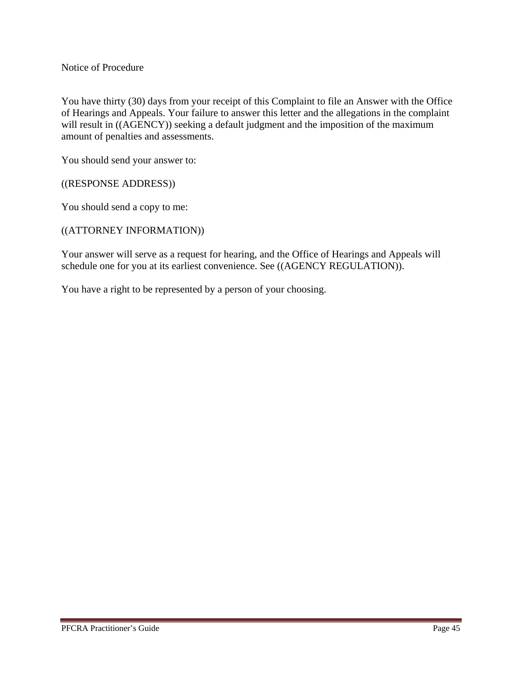Notice of Procedure

You have thirty (30) days from your receipt of this Complaint to file an Answer with the Office of Hearings and Appeals. Your failure to answer this letter and the allegations in the complaint will result in ((AGENCY)) seeking a default judgment and the imposition of the maximum amount of penalties and assessments.

You should send your answer to:

((RESPONSE ADDRESS))

You should send a copy to me:

((ATTORNEY INFORMATION))

Your answer will serve as a request for hearing, and the Office of Hearings and Appeals will schedule one for you at its earliest convenience. See ((AGENCY REGULATION)).

You have a right to be represented by a person of your choosing.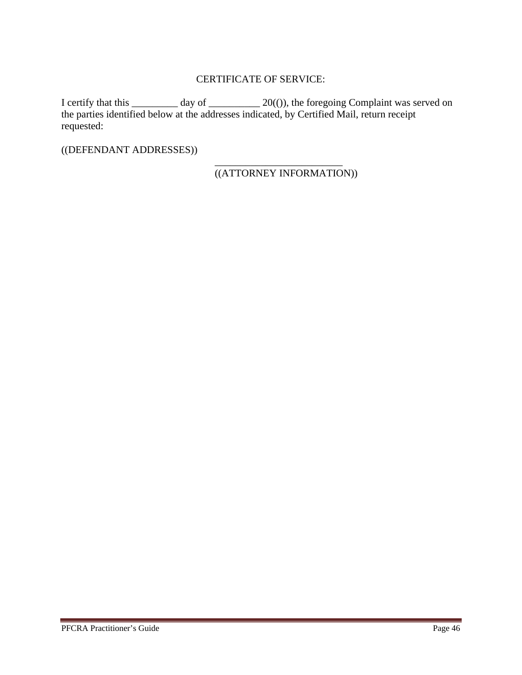#### CERTIFICATE OF SERVICE:

I certify that this  $\frac{1}{\sqrt{2}}$  day of  $\frac{20(0)}{2}$ , the foregoing Complaint was served on the parties identified below at the addresses indicated, by Certified Mail, return receipt requested:

 $\frac{1}{2}$  , and the set of the set of the set of the set of the set of the set of the set of the set of the set of the set of the set of the set of the set of the set of the set of the set of the set of the set of the set

((DEFENDANT ADDRESSES))

((ATTORNEY INFORMATION))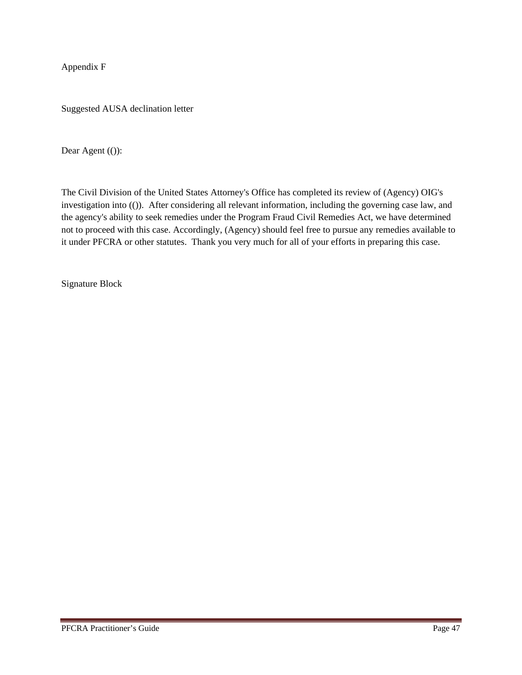Appendix F

Suggested AUSA declination letter

Dear Agent (()):

The Civil Division of the United States Attorney's Office has completed its review of (Agency) OIG's investigation into (()). After considering all relevant information, including the governing case law, and the agency's ability to seek remedies under the Program Fraud Civil Remedies Act, we have determined not to proceed with this case. Accordingly, (Agency) should feel free to pursue any remedies available to it under PFCRA or other statutes. Thank you very much for all of your efforts in preparing this case.

Signature Block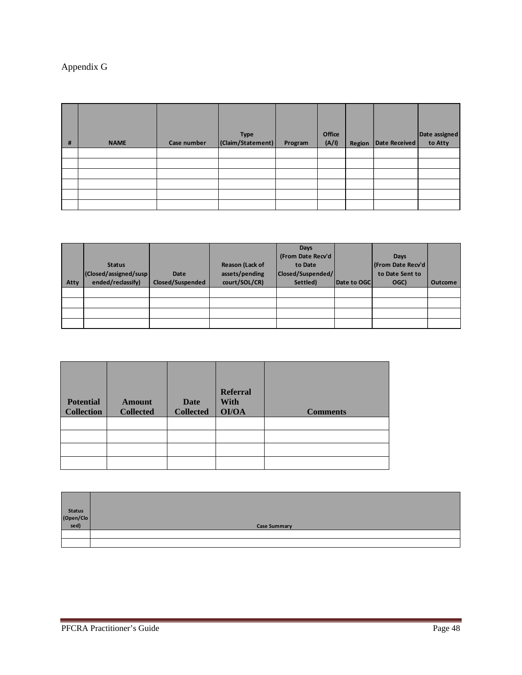#### Appendix G

| # | <b>NAME</b> | Case number | <b>Type</b><br>(Claim/Statement) | Program | Office<br>(A/I) | Region | Date Received | Date assigned<br>to Atty |
|---|-------------|-------------|----------------------------------|---------|-----------------|--------|---------------|--------------------------|
|   |             |             |                                  |         |                 |        |               |                          |
|   |             |             |                                  |         |                 |        |               |                          |
|   |             |             |                                  |         |                 |        |               |                          |
|   |             |             |                                  |         |                 |        |               |                          |
|   |             |             |                                  |         |                 |        |               |                          |
|   |             |             |                                  |         |                 |        |               |                          |

| <b>Atty</b> | <b>Status</b><br>(Closed/assigned/susp)<br>ended/reclassify) | Date<br>Closed/Suspended | Reason (Lack of<br>assets/pending<br>court/SOL/CR) | Days<br>(From Date Recv'd<br>to Date<br> Closed/Suspended/ <br>Settled) | Date to OGC | Days<br>(From Date Recv'd<br>to Date Sent to<br>OGC) | <b>Outcome</b> |
|-------------|--------------------------------------------------------------|--------------------------|----------------------------------------------------|-------------------------------------------------------------------------|-------------|------------------------------------------------------|----------------|
|             |                                                              |                          |                                                    |                                                                         |             |                                                      |                |
|             |                                                              |                          |                                                    |                                                                         |             |                                                      |                |
|             |                                                              |                          |                                                    |                                                                         |             |                                                      |                |
|             |                                                              |                          |                                                    |                                                                         |             |                                                      |                |

| <b>Potential</b><br><b>Collection</b> | <b>Amount</b><br><b>Collected</b> | <b>Date</b><br><b>Collected</b> | <b>Referral</b><br><b>With</b><br>OI/OA | <b>Comments</b> |
|---------------------------------------|-----------------------------------|---------------------------------|-----------------------------------------|-----------------|
|                                       |                                   |                                 |                                         |                 |
|                                       |                                   |                                 |                                         |                 |
|                                       |                                   |                                 |                                         |                 |
|                                       |                                   |                                 |                                         |                 |

| Status<br>(Open/Clo<br>sed) |                     |
|-----------------------------|---------------------|
|                             | <b>Case Summary</b> |
|                             |                     |
|                             |                     |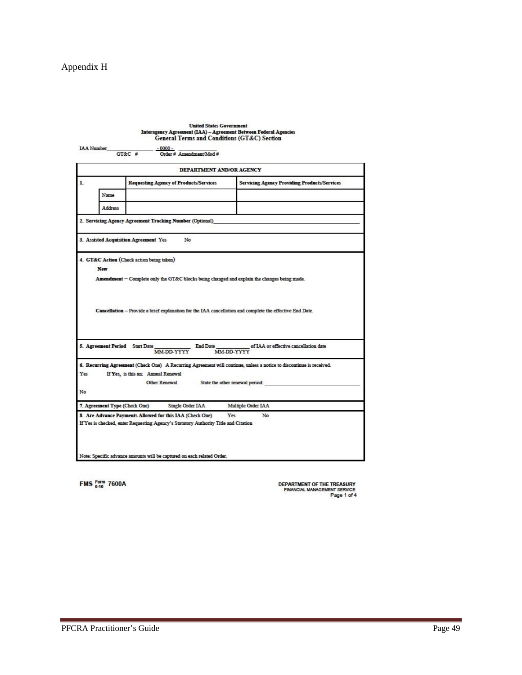#### Appendix H

|                                       |                                                                                     |                          | Interagency Agreement (IAA) - Agreement Between Federal Agencies<br><b>General Terms and Conditions (GT&amp;C) Section</b>                                      |
|---------------------------------------|-------------------------------------------------------------------------------------|--------------------------|-----------------------------------------------------------------------------------------------------------------------------------------------------------------|
| <b>IAA Number</b>                     | $-0000 -$                                                                           |                          |                                                                                                                                                                 |
|                                       | $G$ T&C #                                                                           | Order # Amendment/Mod #  |                                                                                                                                                                 |
|                                       |                                                                                     | DEPARTMENT AND/OR AGENCY |                                                                                                                                                                 |
| $\mathbf{L}$                          | <b>Requesting Agency of Products/Services</b>                                       |                          | <b>Servicing Agency Providing Products/Services</b>                                                                                                             |
| Name                                  |                                                                                     |                          |                                                                                                                                                                 |
| <b>Address</b>                        |                                                                                     |                          |                                                                                                                                                                 |
|                                       | 2. Servicing Agency Agreement Tracking Number (Optional)                            |                          |                                                                                                                                                                 |
|                                       |                                                                                     |                          |                                                                                                                                                                 |
| 3. Assisted Acquisition Agreement Yes |                                                                                     | No                       |                                                                                                                                                                 |
|                                       |                                                                                     |                          |                                                                                                                                                                 |
|                                       |                                                                                     |                          | Amendment - Complete only the GT&C blocks being changed and explain the changes being made.                                                                     |
| 5. Agreement Period Start Date        | MM-DD-YYYY                                                                          | <b>End Date</b>          | Cancellation - Provide a brief explanation for the IAA cancellation and complete the effective End Date.<br>of IAA or effective cancellation date<br>MM-DD-YYYY |
|                                       |                                                                                     |                          |                                                                                                                                                                 |
| Yes                                   |                                                                                     |                          | 6. Recurring Agreement (Check One) A Recurring Agreement will continue, unless a notice to discontinue is received.                                             |
|                                       | If Yes, is this an: Annual Renewal                                                  |                          |                                                                                                                                                                 |
|                                       | <b>Other Renewal</b>                                                                |                          | State the other renewal period:                                                                                                                                 |
| No                                    |                                                                                     |                          |                                                                                                                                                                 |
| 7. Agreement Type (Check One)         |                                                                                     | Single Order IAA         | Multiple Order LAA                                                                                                                                              |
|                                       | 8. Are Advance Payments Allowed for this IAA (Check One)                            |                          | Yes<br>No                                                                                                                                                       |
|                                       | If Yes is checked, enter Requesting Agency's Statutory Authority Title and Citation |                          |                                                                                                                                                                 |
|                                       |                                                                                     |                          |                                                                                                                                                                 |
|                                       |                                                                                     |                          |                                                                                                                                                                 |
|                                       |                                                                                     |                          |                                                                                                                                                                 |

**FMS** Form 7600A

DEPARTMENT OF THE TREASURY<br>FINANCIAL MANAGEMENT SERVICE<br>Page 1 of 4

and a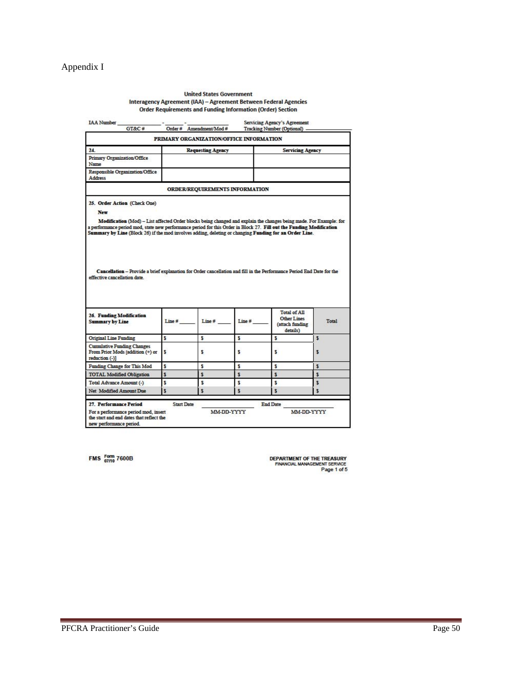#### Appendix I

#### **United States Government** Interagency Agreement (IAA) - Agreement Between Federal Agencies<br>Order Requirements and Funding Information (Order) Section

|                                                                                                                                                                                                                                                                                                                                                                                             |                   | PRIMARY ORGANIZATION/OFFICE INFORMATION |       |                                                                   |       |  |
|---------------------------------------------------------------------------------------------------------------------------------------------------------------------------------------------------------------------------------------------------------------------------------------------------------------------------------------------------------------------------------------------|-------------------|-----------------------------------------|-------|-------------------------------------------------------------------|-------|--|
| 24.<br><b>Requesting Agency</b>                                                                                                                                                                                                                                                                                                                                                             |                   |                                         |       | <b>Servicing Agency</b>                                           |       |  |
| <b>Primary Organization/Office</b><br>Name                                                                                                                                                                                                                                                                                                                                                  |                   |                                         |       |                                                                   |       |  |
| Responsible Organization/Office<br><b>Address</b>                                                                                                                                                                                                                                                                                                                                           |                   |                                         |       |                                                                   |       |  |
|                                                                                                                                                                                                                                                                                                                                                                                             |                   | <b>ORDER/REQUIREMENTS INFORMATION</b>   |       |                                                                   |       |  |
| 25. Order Action (Check One)<br>New<br>Modification (Mod) - List affected Order blocks being changed and explain the changes being made. For Example: for<br>a performance period mod, state new performance period for this Order in Block 27. Fill out the Funding Modification<br>Summary by Line (Block 26) if the mod involves adding, deleting or changing Funding for an Order Line. |                   |                                         |       |                                                                   |       |  |
| Cancellation - Provide a brief explanation for Order cancellation and fill in the Performance Period End Date for the<br>effective cancellation date.                                                                                                                                                                                                                                       |                   |                                         |       |                                                                   |       |  |
| <b>26. Funding Modification</b><br><b>Summary by Line</b>                                                                                                                                                                                                                                                                                                                                   | Line#             | Line #                                  | Line# | <b>Total of All</b><br>Other Lines<br>(attach funding<br>details) | Total |  |
|                                                                                                                                                                                                                                                                                                                                                                                             | S                 | S                                       | s     | s                                                                 | \$    |  |
| <b>Original Line Funding</b><br><b>Cumulative Funding Changes</b><br>From Prior Mods [addition (+) or<br>reduction (-)]                                                                                                                                                                                                                                                                     | s                 | S                                       | s     | s                                                                 | \$    |  |
|                                                                                                                                                                                                                                                                                                                                                                                             | s                 | \$                                      | \$    | s                                                                 | \$    |  |
|                                                                                                                                                                                                                                                                                                                                                                                             | S                 | s                                       | \$    | S                                                                 | \$    |  |
|                                                                                                                                                                                                                                                                                                                                                                                             | S                 | s                                       | \$    | s                                                                 | \$    |  |
|                                                                                                                                                                                                                                                                                                                                                                                             | S                 | s                                       | \$    | s                                                                 | \$    |  |
| Funding Change for This Mod<br><b>TOTAL Modified Obligation</b><br>Total Advance Amount (-)<br>Net Modified Amount Due<br>27. Performance Period                                                                                                                                                                                                                                            | <b>Start Date</b> |                                         |       | <b>End Date</b>                                                   |       |  |

FMS Form 7600B

**DEPARTMENT OF THE TREASURY<br>FINANCIAL MANAGEMENT SERVICE**<br>Page 1 of 5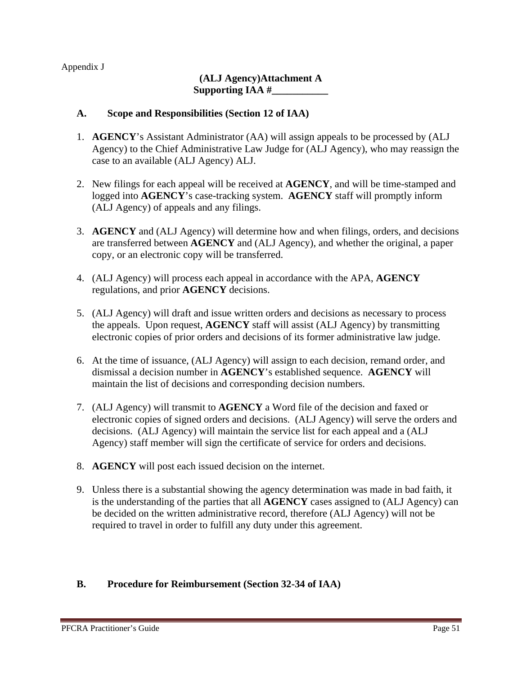Appendix J

#### **(ALJ Agency)Attachment A Supporting IAA #\_\_\_\_\_\_\_\_\_\_\_**

#### **A. Scope and Responsibilities (Section 12 of IAA)**

- 1. **AGENCY**'s Assistant Administrator (AA) will assign appeals to be processed by (ALJ Agency) to the Chief Administrative Law Judge for (ALJ Agency), who may reassign the case to an available (ALJ Agency) ALJ.
- 2. New filings for each appeal will be received at **AGENCY**, and will be time-stamped and logged into **AGENCY**'s case-tracking system. **AGENCY** staff will promptly inform (ALJ Agency) of appeals and any filings.
- 3. **AGENCY** and (ALJ Agency) will determine how and when filings, orders, and decisions are transferred between **AGENCY** and (ALJ Agency), and whether the original, a paper copy, or an electronic copy will be transferred.
- 4. (ALJ Agency) will process each appeal in accordance with the APA, **AGENCY** regulations, and prior **AGENCY** decisions.
- 5. (ALJ Agency) will draft and issue written orders and decisions as necessary to process the appeals. Upon request, **AGENCY** staff will assist (ALJ Agency) by transmitting electronic copies of prior orders and decisions of its former administrative law judge.
- 6. At the time of issuance, (ALJ Agency) will assign to each decision, remand order, and dismissal a decision number in **AGENCY**'s established sequence. **AGENCY** will maintain the list of decisions and corresponding decision numbers.
- 7. (ALJ Agency) will transmit to **AGENCY** a Word file of the decision and faxed or electronic copies of signed orders and decisions. (ALJ Agency) will serve the orders and decisions. (ALJ Agency) will maintain the service list for each appeal and a (ALJ Agency) staff member will sign the certificate of service for orders and decisions.
- 8. **AGENCY** will post each issued decision on the internet.
- 9. Unless there is a substantial showing the agency determination was made in bad faith, it is the understanding of the parties that all **AGENCY** cases assigned to (ALJ Agency) can be decided on the written administrative record, therefore (ALJ Agency) will not be required to travel in order to fulfill any duty under this agreement.

#### **B. Procedure for Reimbursement (Section 32-34 of IAA)**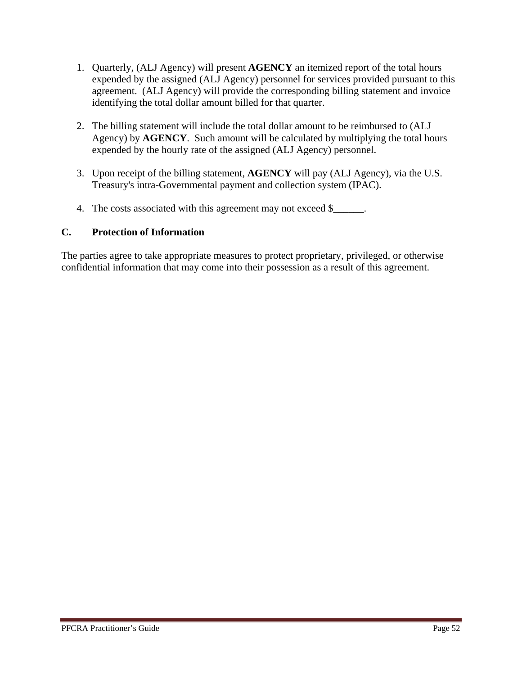- 1. Quarterly, (ALJ Agency) will present **AGENCY** an itemized report of the total hours expended by the assigned (ALJ Agency) personnel for services provided pursuant to this agreement. (ALJ Agency) will provide the corresponding billing statement and invoice identifying the total dollar amount billed for that quarter.
- 2. The billing statement will include the total dollar amount to be reimbursed to (ALJ Agency) by **AGENCY**. Such amount will be calculated by multiplying the total hours expended by the hourly rate of the assigned (ALJ Agency) personnel.
- 3. Upon receipt of the billing statement, **AGENCY** will pay (ALJ Agency), via the U.S. Treasury's intra-Governmental payment and collection system (IPAC).
- 4. The costs associated with this agreement may not exceed \$\_\_\_\_\_\_.

#### **C. Protection of Information**

The parties agree to take appropriate measures to protect proprietary, privileged, or otherwise confidential information that may come into their possession as a result of this agreement.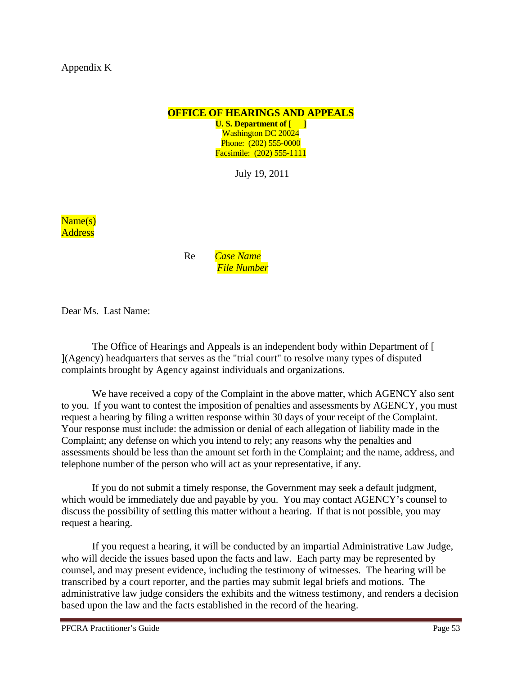**OFFICE OF HEARINGS AND APPEALS**

**U. S. Department of [ ]** Washington DC 20024 Phone: (202) 555-0000 Facsimile: (202) 555-1111

July 19, 2011

Name(s) **Address** 

> Re *Case Name File Number*

Dear Ms. Last Name:

The Office of Hearings and Appeals is an independent body within Department of [ ](Agency) headquarters that serves as the "trial court" to resolve many types of disputed complaints brought by Agency against individuals and organizations.

We have received a copy of the Complaint in the above matter, which AGENCY also sent to you. If you want to contest the imposition of penalties and assessments by AGENCY, you must request a hearing by filing a written response within 30 days of your receipt of the Complaint. Your response must include: the admission or denial of each allegation of liability made in the Complaint; any defense on which you intend to rely; any reasons why the penalties and assessments should be less than the amount set forth in the Complaint; and the name, address, and telephone number of the person who will act as your representative, if any.

 If you do not submit a timely response, the Government may seek a default judgment, which would be immediately due and payable by you. You may contact AGENCY's counsel to discuss the possibility of settling this matter without a hearing. If that is not possible, you may request a hearing.

 If you request a hearing, it will be conducted by an impartial Administrative Law Judge, who will decide the issues based upon the facts and law. Each party may be represented by counsel, and may present evidence, including the testimony of witnesses. The hearing will be transcribed by a court reporter, and the parties may submit legal briefs and motions. The administrative law judge considers the exhibits and the witness testimony, and renders a decision based upon the law and the facts established in the record of the hearing.